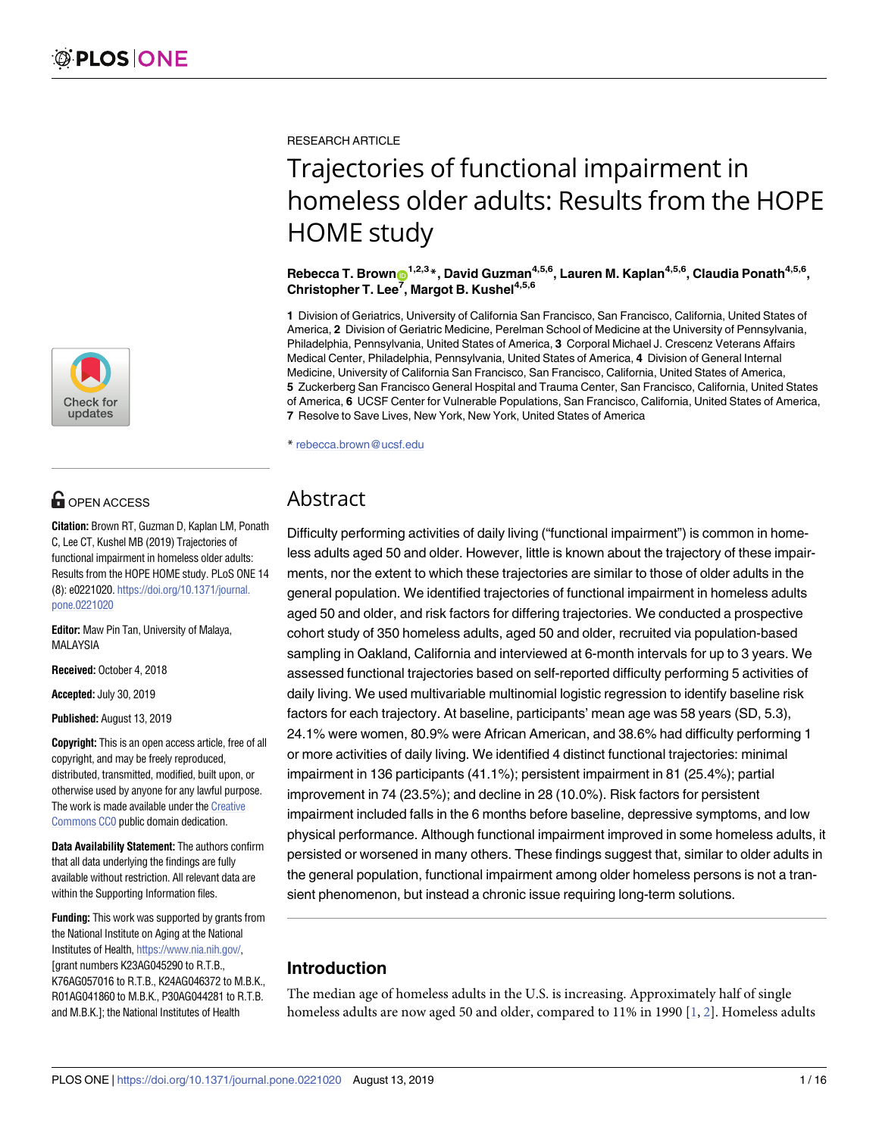

## **OPEN ACCESS**

**Citation:** Brown RT, Guzman D, Kaplan LM, Ponath C, Lee CT, Kushel MB (2019) Trajectories of functional impairment in homeless older adults: Results from the HOPE HOME study. PLoS ONE 14 (8): e0221020. [https://doi.org/10.1371/journal.](https://doi.org/10.1371/journal.pone.0221020) [pone.0221020](https://doi.org/10.1371/journal.pone.0221020)

**Editor:** Maw Pin Tan, University of Malaya, MALAYSIA

**Received:** October 4, 2018

**Accepted:** July 30, 2019

**Published:** August 13, 2019

**Copyright:** This is an open access article, free of all copyright, and may be freely reproduced, distributed, transmitted, modified, built upon, or otherwise used by anyone for any lawful purpose. The work is made available under the [Creative](https://creativecommons.org/publicdomain/zero/1.0/) [Commons](https://creativecommons.org/publicdomain/zero/1.0/) CC0 public domain dedication.

**Data Availability Statement:** The authors confirm that all data underlying the findings are fully available without restriction. All relevant data are within the Supporting Information files.

**Funding:** This work was supported by grants from the National Institute on Aging at the National Institutes of Health, [https://www.nia.nih.gov/,](https://www.nia.nih.gov/) [grant numbers K23AG045290 to R.T.B., K76AG057016 to R.T.B., K24AG046372 to M.B.K., R01AG041860 to M.B.K., P30AG044281 to R.T.B. and M.B.K.]; the National Institutes of Health

<span id="page-0-0"></span>RESEARCH ARTICLE

# Trajectories of functional impairment in homeless older adults: Results from the HOPE HOME study

 $R$ ebecca T. Brown $\bullet^{1,2,3}$ \*, David Guzman<sup>4,5,6</sup>, Lauren M. Kaplan<sup>4,5,6</sup>, Claudia Ponath<sup>4,5,6</sup>, **Christopher T. Lee7 , Margot B. Kushel4,5,6**

**1** Division of Geriatrics, University of California San Francisco, San Francisco, California, United States of America, **2** Division of Geriatric Medicine, Perelman School of Medicine at the University of Pennsylvania, Philadelphia, Pennsylvania, United States of America, **3** Corporal Michael J. Crescenz Veterans Affairs Medical Center, Philadelphia, Pennsylvania, United States of America, **4** Division of General Internal Medicine, University of California San Francisco, San Francisco, California, United States of America, **5** Zuckerberg San Francisco General Hospital and Trauma Center, San Francisco, California, United States of America, **6** UCSF Center for Vulnerable Populations, San Francisco, California, United States of America, **7** Resolve to Save Lives, New York, New York, United States of America

\* rebecca.brown@ucsf.edu

## Abstract

Difficulty performing activities of daily living ("functional impairment") is common in homeless adults aged 50 and older. However, little is known about the trajectory of these impairments, nor the extent to which these trajectories are similar to those of older adults in the general population. We identified trajectories of functional impairment in homeless adults aged 50 and older, and risk factors for differing trajectories. We conducted a prospective cohort study of 350 homeless adults, aged 50 and older, recruited via population-based sampling in Oakland, California and interviewed at 6-month intervals for up to 3 years. We assessed functional trajectories based on self-reported difficulty performing 5 activities of daily living. We used multivariable multinomial logistic regression to identify baseline risk factors for each trajectory. At baseline, participants' mean age was 58 years (SD, 5.3), 24.1% were women, 80.9% were African American, and 38.6% had difficulty performing 1 or more activities of daily living. We identified 4 distinct functional trajectories: minimal impairment in 136 participants (41.1%); persistent impairment in 81 (25.4%); partial improvement in 74 (23.5%); and decline in 28 (10.0%). Risk factors for persistent impairment included falls in the 6 months before baseline, depressive symptoms, and low physical performance. Although functional impairment improved in some homeless adults, it persisted or worsened in many others. These findings suggest that, similar to older adults in the general population, functional impairment among older homeless persons is not a transient phenomenon, but instead a chronic issue requiring long-term solutions.

## **Introduction**

The median age of homeless adults in the U.S. is increasing. Approximately half of single homeless adults are now aged 50 and older, compared to 11% in 1990 [\[1,](#page-12-0) [2\]](#page-12-0). Homeless adults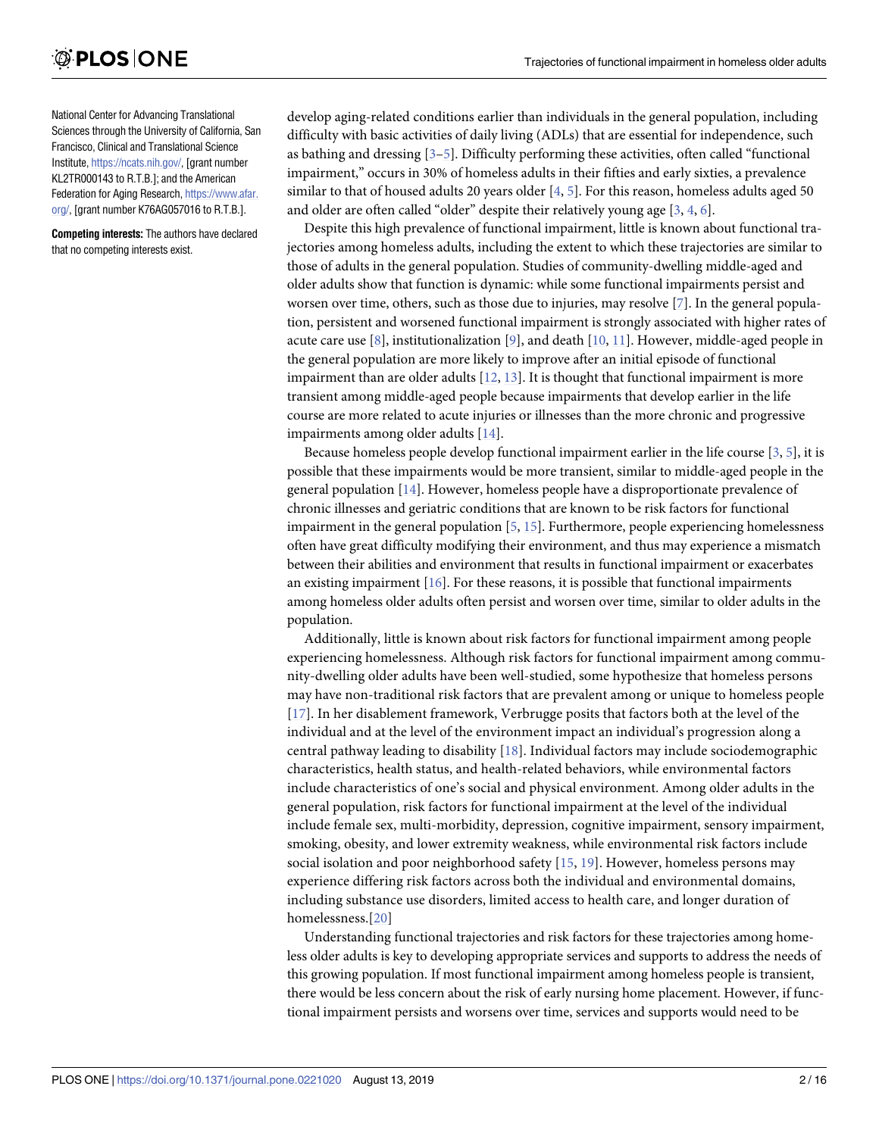<span id="page-1-0"></span>National Center for Advancing Translational Sciences through the University of California, San Francisco, Clinical and Translational Science Institute, <https://ncats.nih.gov/>, [grant number KL2TR000143 to R.T.B.]; and the American Federation for Aging Research, [https://www.afar.](https://www.afar.org/) [org/](https://www.afar.org/), [grant number K76AG057016 to R.T.B.].

**Competing interests:** The authors have declared that no competing interests exist.

develop aging-related conditions earlier than individuals in the general population, including difficulty with basic activities of daily living (ADLs) that are essential for independence, such as bathing and dressing [\[3–](#page-12-0)[5\]](#page-13-0). Difficulty performing these activities, often called "functional impairment," occurs in 30% of homeless adults in their fifties and early sixties, a prevalence similar to that of housed adults 20 years older [[4,](#page-12-0) [5\]](#page-13-0). For this reason, homeless adults aged 50 and older are often called "older" despite their relatively young age [[3](#page-12-0), [4](#page-12-0), [6\]](#page-13-0).

Despite this high prevalence of functional impairment, little is known about functional trajectories among homeless adults, including the extent to which these trajectories are similar to those of adults in the general population. Studies of community-dwelling middle-aged and older adults show that function is dynamic: while some functional impairments persist and worsen over time, others, such as those due to injuries, may resolve [[7](#page-13-0)]. In the general population, persistent and worsened functional impairment is strongly associated with higher rates of acute care use  $[8]$  $[8]$  $[8]$ , institutionalization  $[9]$  $[9]$ , and death  $[10, 11]$  $[10, 11]$  $[10, 11]$  $[10, 11]$  $[10, 11]$ . However, middle-aged people in the general population are more likely to improve after an initial episode of functional impairment than are older adults  $[12, 13]$  $[12, 13]$  $[12, 13]$ . It is thought that functional impairment is more transient among middle-aged people because impairments that develop earlier in the life course are more related to acute injuries or illnesses than the more chronic and progressive impairments among older adults [[14](#page-13-0)].

Because homeless people develop functional impairment earlier in the life course  $[3, 5]$  $[3, 5]$  $[3, 5]$  $[3, 5]$ , it is possible that these impairments would be more transient, similar to middle-aged people in the general population [[14](#page-13-0)]. However, homeless people have a disproportionate prevalence of chronic illnesses and geriatric conditions that are known to be risk factors for functional impairment in the general population [[5](#page-13-0), [15](#page-13-0)]. Furthermore, people experiencing homelessness often have great difficulty modifying their environment, and thus may experience a mismatch between their abilities and environment that results in functional impairment or exacerbates an existing impairment  $[16]$ . For these reasons, it is possible that functional impairments among homeless older adults often persist and worsen over time, similar to older adults in the population.

Additionally, little is known about risk factors for functional impairment among people experiencing homelessness. Although risk factors for functional impairment among community-dwelling older adults have been well-studied, some hypothesize that homeless persons may have non-traditional risk factors that are prevalent among or unique to homeless people [\[17](#page-13-0)]. In her disablement framework, Verbrugge posits that factors both at the level of the individual and at the level of the environment impact an individual's progression along a central pathway leading to disability [[18](#page-13-0)]. Individual factors may include sociodemographic characteristics, health status, and health-related behaviors, while environmental factors include characteristics of one's social and physical environment. Among older adults in the general population, risk factors for functional impairment at the level of the individual include female sex, multi-morbidity, depression, cognitive impairment, sensory impairment, smoking, obesity, and lower extremity weakness, while environmental risk factors include social isolation and poor neighborhood safety [\[15,](#page-13-0) [19](#page-13-0)]. However, homeless persons may experience differing risk factors across both the individual and environmental domains, including substance use disorders, limited access to health care, and longer duration of homelessness.[\[20\]](#page-13-0)

Understanding functional trajectories and risk factors for these trajectories among homeless older adults is key to developing appropriate services and supports to address the needs of this growing population. If most functional impairment among homeless people is transient, there would be less concern about the risk of early nursing home placement. However, if functional impairment persists and worsens over time, services and supports would need to be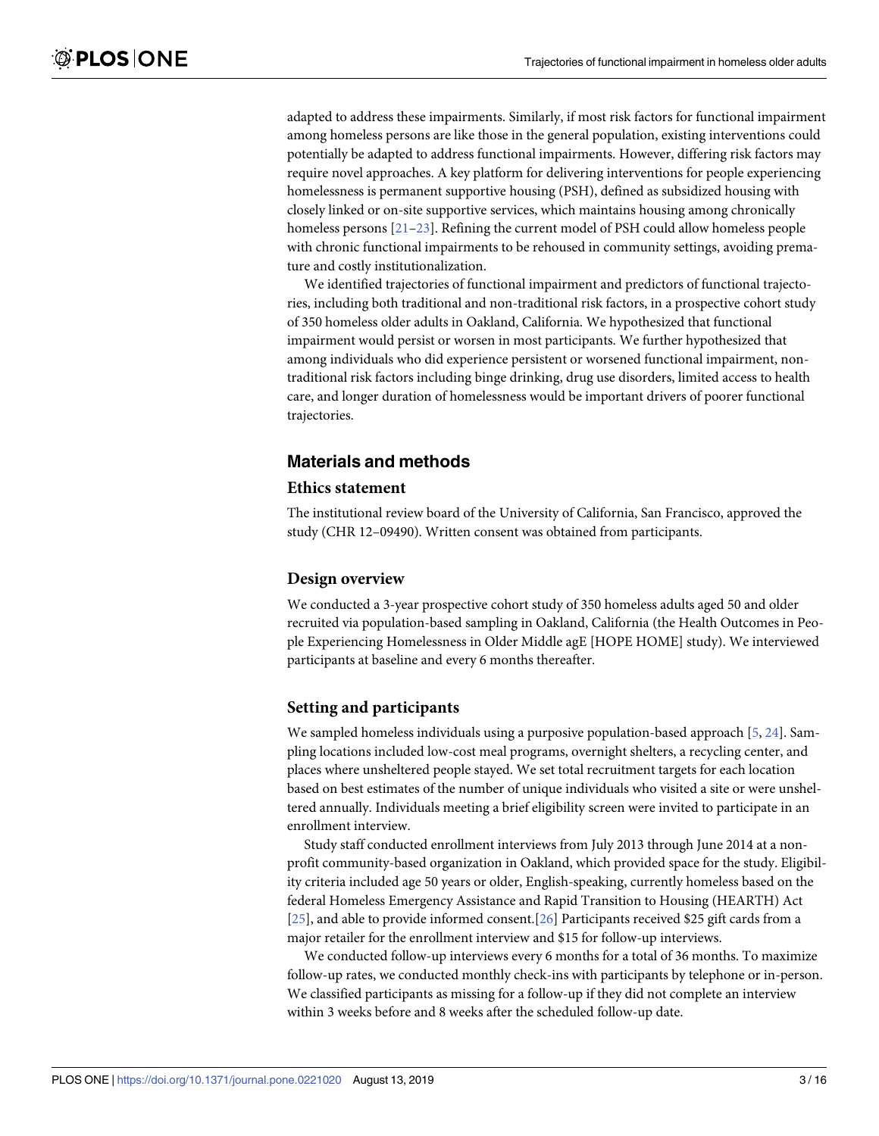<span id="page-2-0"></span>adapted to address these impairments. Similarly, if most risk factors for functional impairment among homeless persons are like those in the general population, existing interventions could potentially be adapted to address functional impairments. However, differing risk factors may require novel approaches. A key platform for delivering interventions for people experiencing homelessness is permanent supportive housing (PSH), defined as subsidized housing with closely linked or on-site supportive services, which maintains housing among chronically homeless persons [\[21–23\]](#page-13-0). Refining the current model of PSH could allow homeless people with chronic functional impairments to be rehoused in community settings, avoiding premature and costly institutionalization.

We identified trajectories of functional impairment and predictors of functional trajectories, including both traditional and non-traditional risk factors, in a prospective cohort study of 350 homeless older adults in Oakland, California. We hypothesized that functional impairment would persist or worsen in most participants. We further hypothesized that among individuals who did experience persistent or worsened functional impairment, nontraditional risk factors including binge drinking, drug use disorders, limited access to health care, and longer duration of homelessness would be important drivers of poorer functional trajectories.

## **Materials and methods**

### **Ethics statement**

The institutional review board of the University of California, San Francisco, approved the study (CHR 12–09490). Written consent was obtained from participants.

## **Design overview**

We conducted a 3-year prospective cohort study of 350 homeless adults aged 50 and older recruited via population-based sampling in Oakland, California (the Health Outcomes in People Experiencing Homelessness in Older Middle agE [HOPE HOME] study). We interviewed participants at baseline and every 6 months thereafter.

## **Setting and participants**

We sampled homeless individuals using a purposive population-based approach [[5,](#page-13-0) [24\]](#page-13-0). Sampling locations included low-cost meal programs, overnight shelters, a recycling center, and places where unsheltered people stayed. We set total recruitment targets for each location based on best estimates of the number of unique individuals who visited a site or were unsheltered annually. Individuals meeting a brief eligibility screen were invited to participate in an enrollment interview.

Study staff conducted enrollment interviews from July 2013 through June 2014 at a nonprofit community-based organization in Oakland, which provided space for the study. Eligibility criteria included age 50 years or older, English-speaking, currently homeless based on the federal Homeless Emergency Assistance and Rapid Transition to Housing (HEARTH) Act [\[25\]](#page-13-0), and able to provide informed consent.[[26\]](#page-14-0) Participants received \$25 gift cards from a major retailer for the enrollment interview and \$15 for follow-up interviews.

We conducted follow-up interviews every 6 months for a total of 36 months. To maximize follow-up rates, we conducted monthly check-ins with participants by telephone or in-person. We classified participants as missing for a follow-up if they did not complete an interview within 3 weeks before and 8 weeks after the scheduled follow-up date.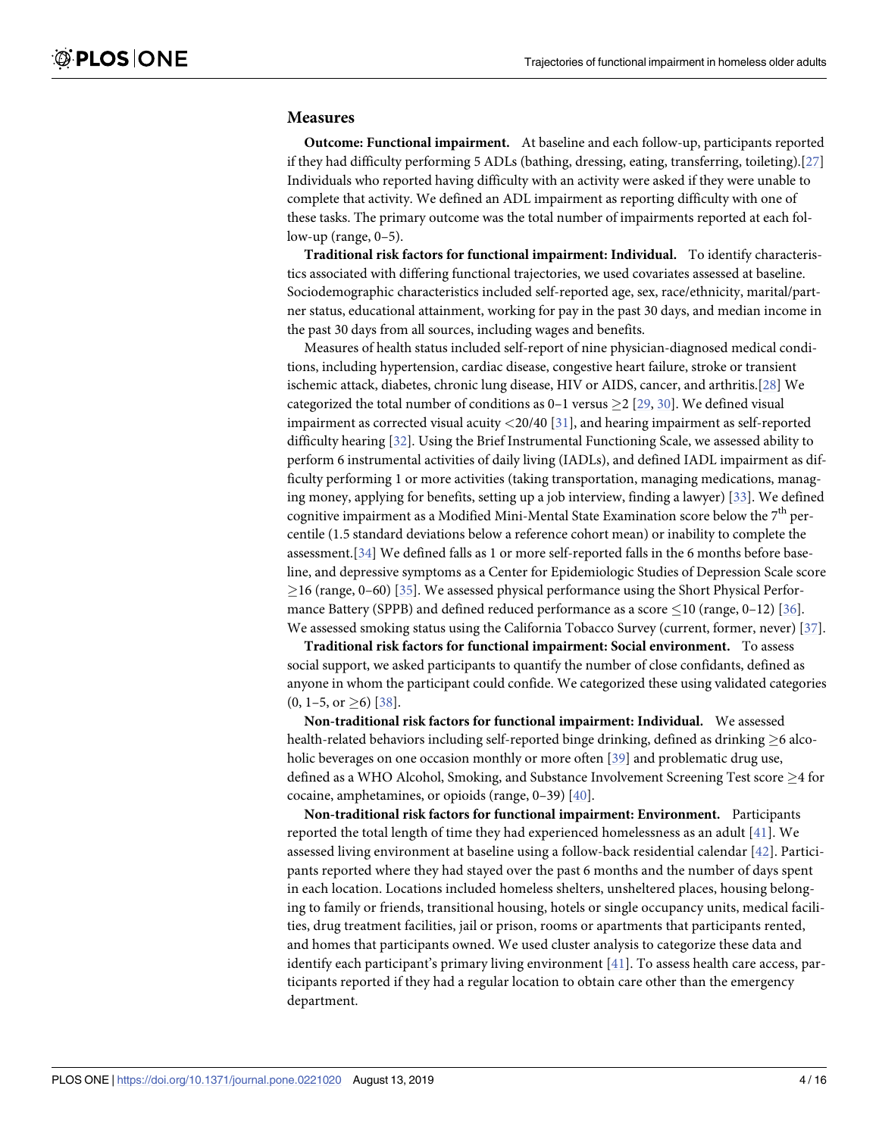#### <span id="page-3-0"></span>**Measures**

**Outcome: Functional impairment.** At baseline and each follow-up, participants reported if they had difficulty performing 5 ADLs (bathing, dressing, eating, transferring, toileting).[[27\]](#page-14-0) Individuals who reported having difficulty with an activity were asked if they were unable to complete that activity. We defined an ADL impairment as reporting difficulty with one of these tasks. The primary outcome was the total number of impairments reported at each follow-up (range, 0–5).

**Traditional risk factors for functional impairment: Individual.** To identify characteristics associated with differing functional trajectories, we used covariates assessed at baseline. Sociodemographic characteristics included self-reported age, sex, race/ethnicity, marital/partner status, educational attainment, working for pay in the past 30 days, and median income in the past 30 days from all sources, including wages and benefits.

Measures of health status included self-report of nine physician-diagnosed medical conditions, including hypertension, cardiac disease, congestive heart failure, stroke or transient ischemic attack, diabetes, chronic lung disease, HIV or AIDS, cancer, and arthritis.[[28\]](#page-14-0) We categorized the total number of conditions as  $0-1$  versus  $\geq 2$  [[29](#page-14-0), [30](#page-14-0)]. We defined visual impairment as corrected visual acuity *<*20/40 [[31](#page-14-0)], and hearing impairment as self-reported difficulty hearing [\[32\]](#page-14-0). Using the Brief Instrumental Functioning Scale, we assessed ability to perform 6 instrumental activities of daily living (IADLs), and defined IADL impairment as difficulty performing 1 or more activities (taking transportation, managing medications, managing money, applying for benefits, setting up a job interview, finding a lawyer) [[33](#page-14-0)]. We defined cognitive impairment as a Modified Mini-Mental State Examination score below the  $7<sup>th</sup>$  percentile (1.5 standard deviations below a reference cohort mean) or inability to complete the assessment.[[34\]](#page-14-0) We defined falls as 1 or more self-reported falls in the 6 months before baseline, and depressive symptoms as a Center for Epidemiologic Studies of Depression Scale score  $\geq$ 16 (range, 0–60) [\[35\]](#page-14-0). We assessed physical performance using the Short Physical Performance Battery (SPPB) and defined reduced performance as a score  $\leq$ 10 (range, 0–12) [[36](#page-14-0)]. We assessed smoking status using the California Tobacco Survey (current, former, never) [\[37\]](#page-14-0).

**Traditional risk factors for functional impairment: Social environment.** To assess social support, we asked participants to quantify the number of close confidants, defined as anyone in whom the participant could confide. We categorized these using validated categories  $(0, 1-5, \text{ or } \geq 6)$  [\[38\]](#page-14-0).

**Non-traditional risk factors for functional impairment: Individual.** We assessed health-related behaviors including self-reported binge drinking, defined as drinking  $\geq 6$  alco-holic beverages on one occasion monthly or more often [\[39\]](#page-14-0) and problematic drug use, defined as a WHO Alcohol, Smoking, and Substance Involvement Screening Test score  $\geq$  4 for cocaine, amphetamines, or opioids (range, 0–39) [\[40\]](#page-14-0).

**Non-traditional risk factors for functional impairment: Environment.** Participants reported the total length of time they had experienced homelessness as an adult [\[41\]](#page-14-0). We assessed living environment at baseline using a follow-back residential calendar [\[42](#page-14-0)]. Participants reported where they had stayed over the past 6 months and the number of days spent in each location. Locations included homeless shelters, unsheltered places, housing belonging to family or friends, transitional housing, hotels or single occupancy units, medical facilities, drug treatment facilities, jail or prison, rooms or apartments that participants rented, and homes that participants owned. We used cluster analysis to categorize these data and identify each participant's primary living environment [[41\]](#page-14-0). To assess health care access, participants reported if they had a regular location to obtain care other than the emergency department.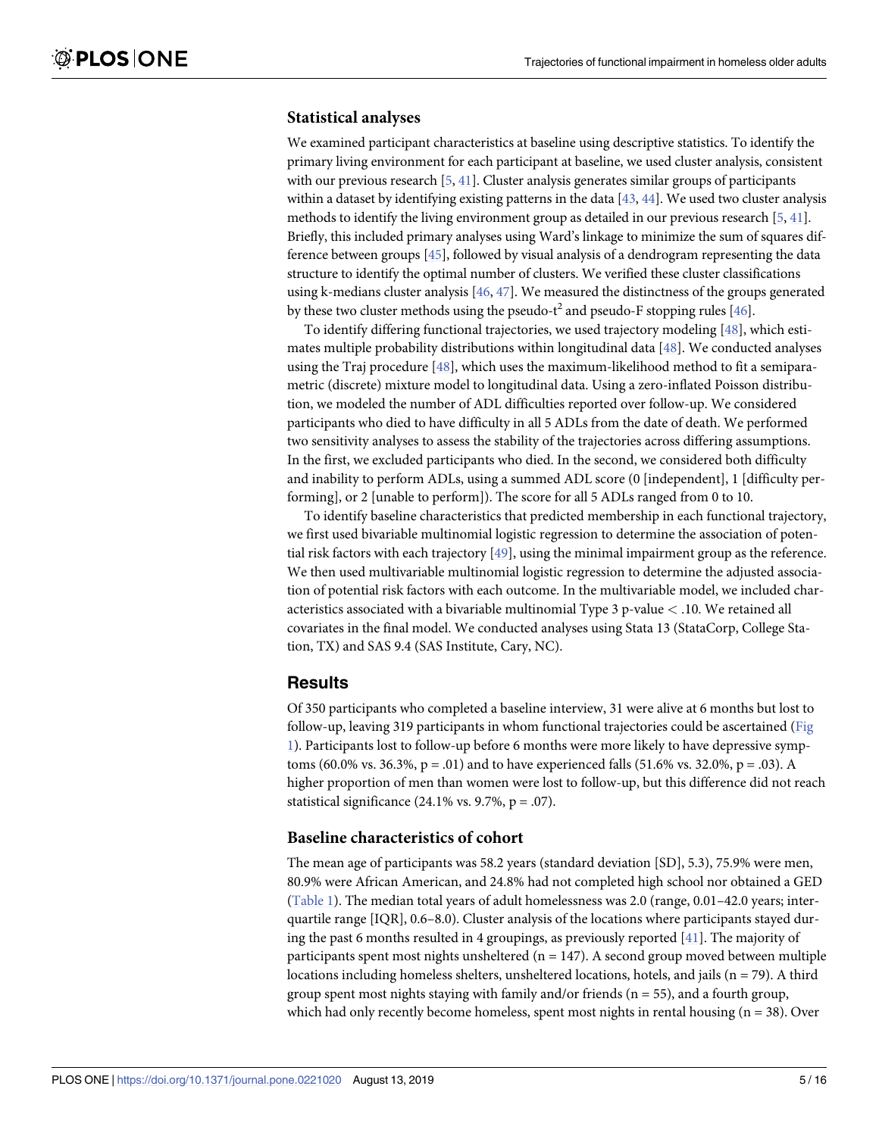#### <span id="page-4-0"></span>**Statistical analyses**

We examined participant characteristics at baseline using descriptive statistics. To identify the primary living environment for each participant at baseline, we used cluster analysis, consistent with our previous research [\[5,](#page-13-0) [41\]](#page-14-0). Cluster analysis generates similar groups of participants within a dataset by identifying existing patterns in the data  $[43, 44]$  $[43, 44]$  $[43, 44]$ . We used two cluster analysis methods to identify the living environment group as detailed in our previous research [\[5,](#page-13-0) [41\]](#page-14-0). Briefly, this included primary analyses using Ward's linkage to minimize the sum of squares difference between groups [\[45\]](#page-14-0), followed by visual analysis of a dendrogram representing the data structure to identify the optimal number of clusters. We verified these cluster classifications using k-medians cluster analysis [\[46](#page-14-0), [47](#page-14-0)]. We measured the distinctness of the groups generated by these two cluster methods using the pseudo-t<sup>2</sup> and pseudo-F stopping rules [\[46\]](#page-14-0).

To identify differing functional trajectories, we used trajectory modeling [\[48\]](#page-15-0), which estimates multiple probability distributions within longitudinal data [\[48\]](#page-15-0). We conducted analyses using the Traj procedure [\[48\]](#page-15-0), which uses the maximum-likelihood method to fit a semiparametric (discrete) mixture model to longitudinal data. Using a zero-inflated Poisson distribution, we modeled the number of ADL difficulties reported over follow-up. We considered participants who died to have difficulty in all 5 ADLs from the date of death. We performed two sensitivity analyses to assess the stability of the trajectories across differing assumptions. In the first, we excluded participants who died. In the second, we considered both difficulty and inability to perform ADLs, using a summed ADL score (0 [independent], 1 [difficulty performing], or 2 [unable to perform]). The score for all 5 ADLs ranged from 0 to 10.

To identify baseline characteristics that predicted membership in each functional trajectory, we first used bivariable multinomial logistic regression to determine the association of potential risk factors with each trajectory [[49](#page-15-0)], using the minimal impairment group as the reference. We then used multivariable multinomial logistic regression to determine the adjusted association of potential risk factors with each outcome. In the multivariable model, we included characteristics associated with a bivariable multinomial Type 3 p-value *<* .10. We retained all covariates in the final model. We conducted analyses using Stata 13 (StataCorp, College Station, TX) and SAS 9.4 (SAS Institute, Cary, NC).

#### **Results**

Of 350 participants who completed a baseline interview, 31 were alive at 6 months but lost to follow-up, leaving 319 participants in whom functional trajectories could be ascertained [\(Fig](#page-5-0) [1\)](#page-5-0). Participants lost to follow-up before 6 months were more likely to have depressive symptoms (60.0% vs. 36.3%,  $p = .01$ ) and to have experienced falls (51.6% vs. 32.0%,  $p = .03$ ). A higher proportion of men than women were lost to follow-up, but this difference did not reach statistical significance  $(24.1\% \text{ vs. } 9.7\%, \text{ p} = .07)$ .

#### **Baseline characteristics of cohort**

The mean age of participants was 58.2 years (standard deviation [SD], 5.3), 75.9% were men, 80.9% were African American, and 24.8% had not completed high school nor obtained a GED [\(Table](#page-6-0) 1). The median total years of adult homelessness was 2.0 (range, 0.01–42.0 years; interquartile range [IQR], 0.6–8.0). Cluster analysis of the locations where participants stayed during the past 6 months resulted in 4 groupings, as previously reported [[41](#page-14-0)]. The majority of participants spent most nights unsheltered ( $n = 147$ ). A second group moved between multiple locations including homeless shelters, unsheltered locations, hotels, and jails ( $n = 79$ ). A third group spent most nights staying with family and/or friends ( $n = 55$ ), and a fourth group, which had only recently become homeless, spent most nights in rental housing  $(n = 38)$ . Over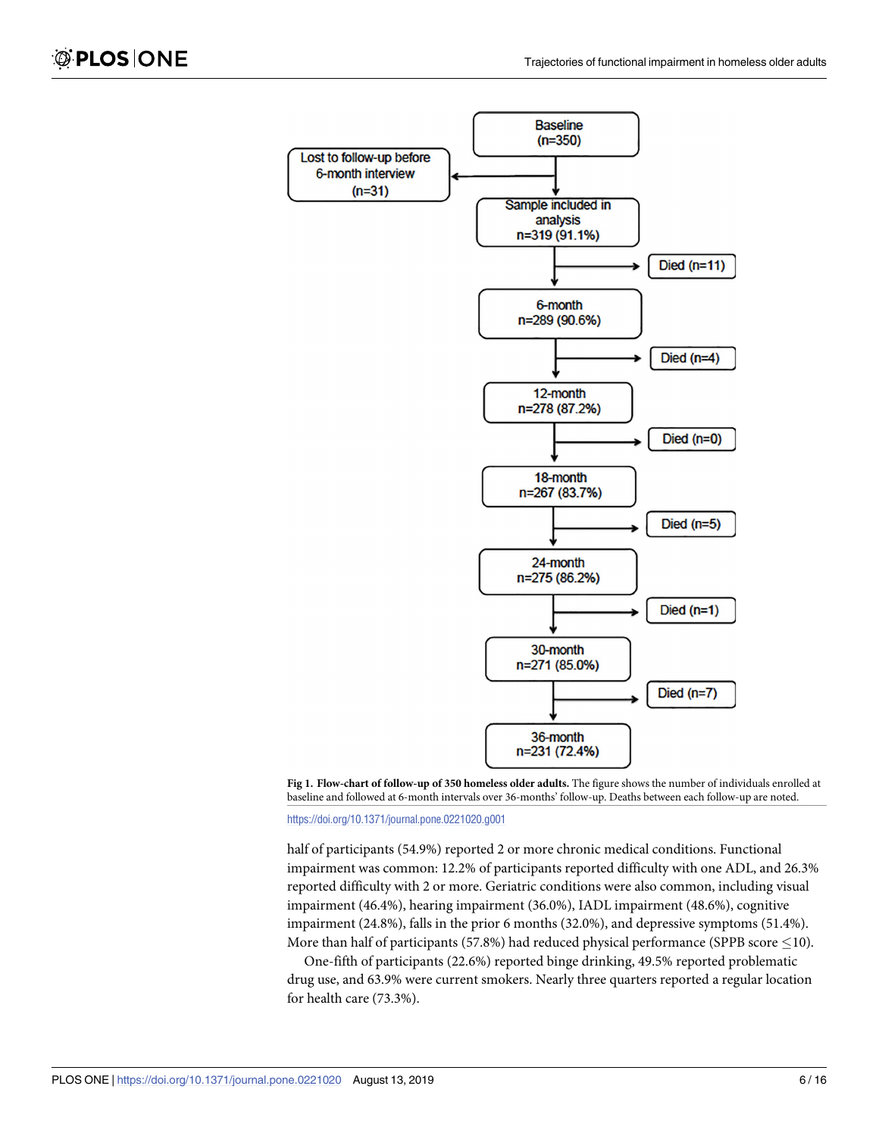<span id="page-5-0"></span>



<https://doi.org/10.1371/journal.pone.0221020.g001>

half of participants (54.9%) reported 2 or more chronic medical conditions. Functional impairment was common: 12.2% of participants reported difficulty with one ADL, and 26.3% reported difficulty with 2 or more. Geriatric conditions were also common, including visual impairment (46.4%), hearing impairment (36.0%), IADL impairment (48.6%), cognitive impairment (24.8%), falls in the prior 6 months (32.0%), and depressive symptoms (51.4%). More than half of participants (57.8%) had reduced physical performance (SPPB score  $\leq$ 10).

One-fifth of participants (22.6%) reported binge drinking, 49.5% reported problematic drug use, and 63.9% were current smokers. Nearly three quarters reported a regular location for health care (73.3%).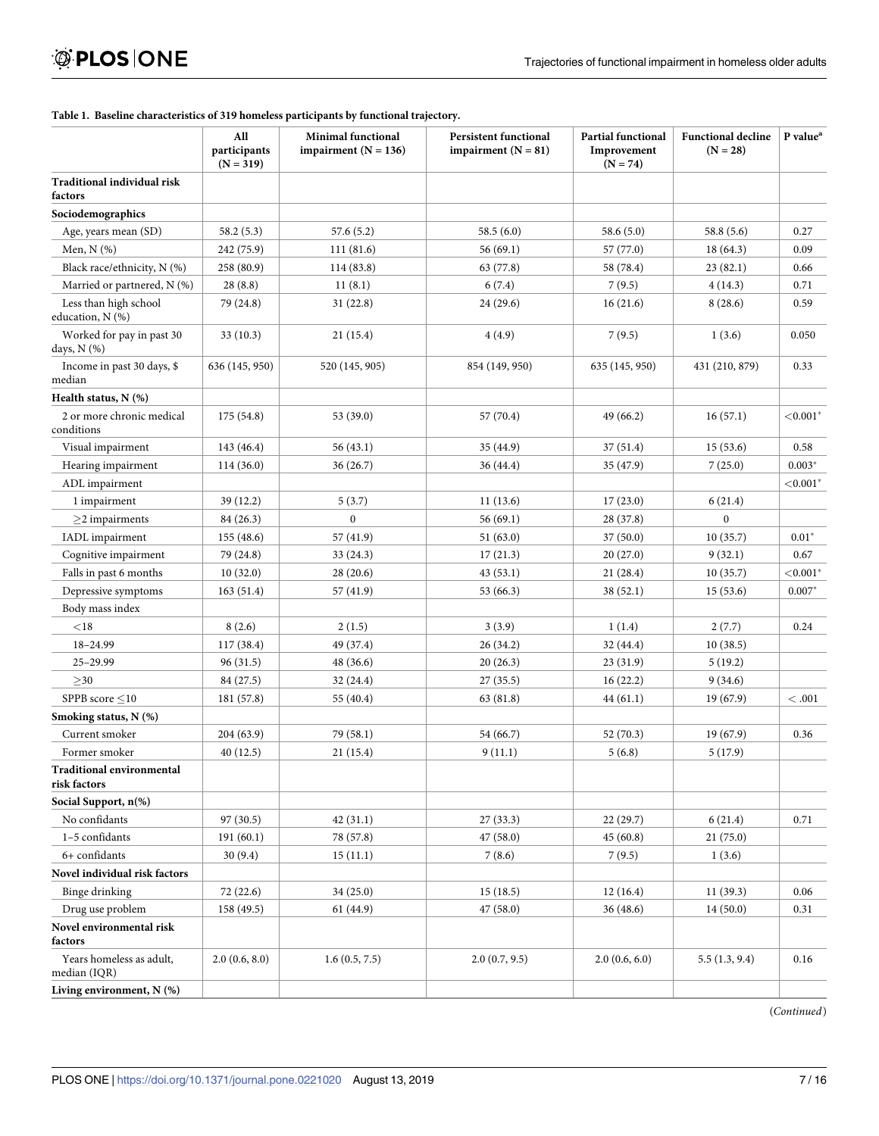#### **All participants**  $(N = 319)$ **Minimal functional impairment (N = 136) Persistent functional impairment (N = 81) Partial functional Improvement**  $(N = 74)$ **Functional decline (N = 28) P value**<sup>a</sup> **Traditional individual risk factors Sociodemographics** Age, years mean (SD) 58.2 (5.3) 57.6 (5.2) 58.5 (6.0) 58.6 (5.0) 58.6 (5.0) 58.8 (5.6) 58.8 (5.6) Men, N (%)  $242(75.9)$  111 (81.6) 56 (69.1) 57 (77.0) 18 (64.3) 0.09 Black race/ethnicity, N (%) 258 (80.9) 114 (83.8) 63 (77.8) 58 (78.4) 23 (82.1) 0.66 Married or partnered, N (%) 28 (8.8) 11 (8.1) 6 (7.4) 7 (9.5) 4 (14.3) 0.71 Less than high school education, N (%)  $79 (24.8)$  31 (22.8) 24 (29.6) 16 (21.6) 8 (28.6) 0.59 Worked for pay in past 30 days, N (%)  $33 (10.3)$  21 (15.4)  $4(4.9)$   $7 (9.5)$  1 (3.6) 0.050 Income in past 30 days, \$ median 636 (145, 950) 520 (145, 905) 854 (149, 950) 635 (145, 950) 431 (210, 879) 0.33 **Health status, N (%)** 2 or more chronic medical conditions 175 (54.8) 53 (39.0) 57 (70.4) 49 (66.2) 16 (57.1) *<*0.001� Visual impairment 143 (46.4) 56 (43.1) 56 (43.1) 35 (44.9) 37 (51.4) 15 (53.6) 0.58 Hearing impairment 114 (36.0) 36 (26.7) 36 (44.4) 35 (47.9) 7 (25.0) 0.003<sup>\*</sup> ADL impairment  $<$   $<$  0.001<sup>\*</sup></sup> 1 impairment 1 39 (12.2) 5 (3.7) 11 (13.6) 17 (23.0) 6 (21.4)  $\geq$ 2 impairments 84 (26.3) 0 56 (69.1) 28 (37.8) 0 IADL impairment 155 (48.6) 57 (41.9) 57 (41.9) 51 (63.0) 37 (50.0) 10 (35.7) 0.01<sup>\*</sup> Cognitive impairment 79 (24.8) 33 (24.3) 17 (21.3) 20 (27.0) 9 (32.1) 0.67 Falls in past 6 months 10 (32.0) 28 (20.6) 43 (53.1) 21 (28.4) 10 (35.7)  $\leq 0.001^*$ Depressive symptoms 163 (51.4) 57 (41.9) 53 (66.3) 38 (52.1) 15 (53.6) 0.007<sup>\*</sup> Body mass index *<*18 8 (2.6) 2 (1.5) 3 (3.9) 1 (1.4) 2 (7.7) 0.24 18–24.99 117 (38.4) 49 (37.4) 26 (34.2) 32 (44.4) 10 (38.5)  $25-29.99$   $31.5)$   $48(36.6)$   $20(26.3)$   $23(31.9)$   $5(19.2)$  $\geq$ 30 84 (27.5) 32 (24.4) 27 (35.5) 16 (22.2) 9 (34.6) SPPB score �10 181 (57.8) 55 (40.4) 63 (81.8) 44 (61.1) 19 (67.9) *<* .001 **Smoking status, N (%)** Current smoker 204 (63.9) 79 (58.1) 54 (66.7) 52 (70.3) 19 (67.9) 0.36 Former smoker  $40 (12.5)$  21 (15.4) 9 (11.1) 5 (6.8) 5 (17.9) **Traditional environmental risk factors Social Support, n(%)** No confidants 97 (30.5) 42 (31.1) 27 (33.3) 22 (29.7) 6 (21.4) 0.71 1–5 confidants 191 (60.1) 78 (57.8) 47 (58.0) 45 (60.8) 21 (75.0) 6+ confidants 30 (9.4) 15 (11.1) 7 (8.6) 7 (9.5) 1 (3.6) **Novel individual risk factors** Binge drinking  $\begin{array}{|l} \hline \end{array}$  72 (22.6) 34 (25.0) 15 (18.5) 12 (16.4) 12 (16.4) 11 (39.3) 0.06 Drug use problem 158 (49.5) 61 (44.9) 61 (44.9) 47 (58.0) 36 (48.6) 46 (48.6) 44 (50.0) 0.31 **Novel environmental risk factors** Years homeless as adult, median (IQR) 2.0  $(0.6, 8.0)$  1.6  $(0.5, 7.5)$  2.0  $(0.7, 9.5)$  2.0  $(0.6, 6.0)$  5.5  $(1.3, 9.4)$  0.16

#### <span id="page-6-0"></span>**[Table](#page-4-0) 1. Baseline characteristics of 319 homeless participants by functional trajectory.**

(*Continued*)

**Living environment, N (%)**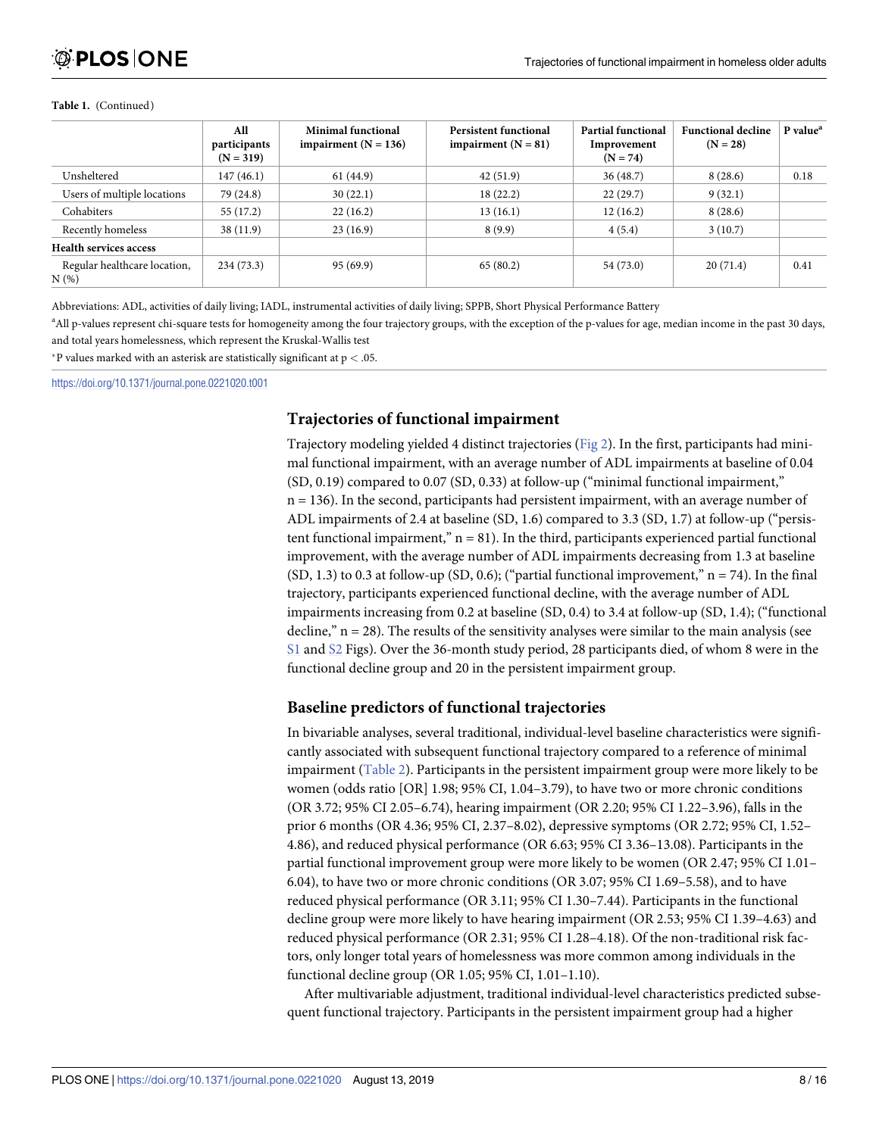#### <span id="page-7-0"></span>**Table 1.** (Continued)

|                                     | All<br>participants<br>$(N = 319)$ | <b>Minimal functional</b><br>impairment $(N = 136)$ | <b>Persistent functional</b><br>impairment $(N = 81)$ | <b>Partial functional</b><br>Improvement<br>$(N = 74)$ | <b>Functional decline</b><br>$(N = 28)$ | P value <sup>a</sup> |
|-------------------------------------|------------------------------------|-----------------------------------------------------|-------------------------------------------------------|--------------------------------------------------------|-----------------------------------------|----------------------|
| Unsheltered                         | 147(46.1)                          | 61(44.9)                                            | 42(51.9)                                              | 36(48.7)                                               | 8(28.6)                                 | 0.18                 |
| Users of multiple locations         | 79 (24.8)                          | 30(22.1)                                            | 18(22.2)                                              | 22(29.7)                                               | 9(32.1)                                 |                      |
| Cohabiters                          | 55(17.2)                           | 22(16.2)                                            | 13(16.1)                                              | 12(16.2)                                               | 8(28.6)                                 |                      |
| Recently homeless                   | 38(11.9)                           | 23(16.9)                                            | 8(9.9)                                                | 4(5.4)                                                 | 3(10.7)                                 |                      |
| <b>Health services access</b>       |                                    |                                                     |                                                       |                                                        |                                         |                      |
| Regular healthcare location,<br>N(% | 234(73.3)                          | 95(69.9)                                            | 65(80.2)                                              | 54 (73.0)                                              | 20(71.4)                                | 0.41                 |

Abbreviations: ADL, activities of daily living; IADL, instrumental activities of daily living; SPPB, Short Physical Performance Battery

<sup>a</sup>All p-values represent chi-square tests for homogeneity among the four trajectory groups, with the exception of the p-values for age, median income in the past 30 days, and total years homelessness, which represent the Kruskal-Wallis test

�P values marked with an asterisk are statistically significant at p *<* .05.

<https://doi.org/10.1371/journal.pone.0221020.t001>

### **Trajectories of functional impairment**

Trajectory modeling yielded 4 distinct trajectories ([Fig](#page-8-0) 2). In the first, participants had minimal functional impairment, with an average number of ADL impairments at baseline of 0.04 (SD, 0.19) compared to 0.07 (SD, 0.33) at follow-up ("minimal functional impairment," n = 136). In the second, participants had persistent impairment, with an average number of ADL impairments of 2.4 at baseline (SD, 1.6) compared to 3.3 (SD, 1.7) at follow-up ("persistent functional impairment,"  $n = 81$ ). In the third, participants experienced partial functional improvement, with the average number of ADL impairments decreasing from 1.3 at baseline  $(SD, 1.3)$  to 0.3 at follow-up  $(SD, 0.6)$ ; ("partial functional improvement," n = 74). In the final trajectory, participants experienced functional decline, with the average number of ADL impairments increasing from 0.2 at baseline (SD, 0.4) to 3.4 at follow-up (SD, 1.4); ("functional decline,"  $n = 28$ ). The results of the sensitivity analyses were similar to the main analysis (see [S1](#page-11-0) and [S2](#page-11-0) Figs). Over the 36-month study period, 28 participants died, of whom 8 were in the functional decline group and 20 in the persistent impairment group.

### **Baseline predictors of functional trajectories**

In bivariable analyses, several traditional, individual-level baseline characteristics were significantly associated with subsequent functional trajectory compared to a reference of minimal impairment [\(Table](#page-9-0) 2). Participants in the persistent impairment group were more likely to be women (odds ratio [OR] 1.98; 95% CI, 1.04–3.79), to have two or more chronic conditions (OR 3.72; 95% CI 2.05–6.74), hearing impairment (OR 2.20; 95% CI 1.22–3.96), falls in the prior 6 months (OR 4.36; 95% CI, 2.37–8.02), depressive symptoms (OR 2.72; 95% CI, 1.52– 4.86), and reduced physical performance (OR 6.63; 95% CI 3.36–13.08). Participants in the partial functional improvement group were more likely to be women (OR 2.47; 95% CI 1.01– 6.04), to have two or more chronic conditions (OR 3.07; 95% CI 1.69–5.58), and to have reduced physical performance (OR 3.11; 95% CI 1.30–7.44). Participants in the functional decline group were more likely to have hearing impairment (OR 2.53; 95% CI 1.39–4.63) and reduced physical performance (OR 2.31; 95% CI 1.28–4.18). Of the non-traditional risk factors, only longer total years of homelessness was more common among individuals in the functional decline group (OR 1.05; 95% CI, 1.01–1.10).

After multivariable adjustment, traditional individual-level characteristics predicted subsequent functional trajectory. Participants in the persistent impairment group had a higher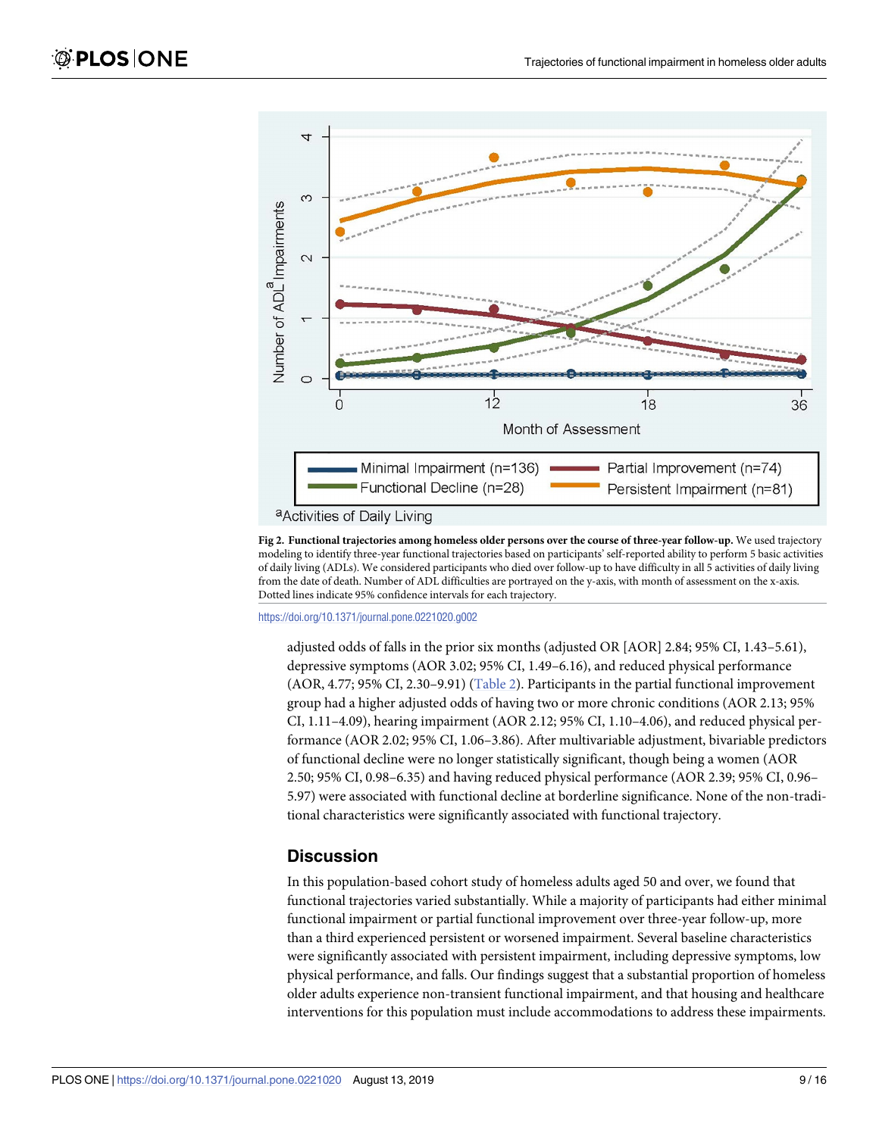<span id="page-8-0"></span>

**[Fig](#page-7-0) 2. Functional trajectories among homeless older persons over the course of three-year follow-up.** We used trajectory modeling to identify three-year functional trajectories based on participants' self-reported ability to perform 5 basic activities of daily living (ADLs). We considered participants who died over follow-up to have difficulty in all 5 activities of daily living from the date of death. Number of ADL difficulties are portrayed on the y-axis, with month of assessment on the x-axis. Dotted lines indicate 95% confidence intervals for each trajectory.

<https://doi.org/10.1371/journal.pone.0221020.g002>

adjusted odds of falls in the prior six months (adjusted OR [AOR] 2.84; 95% CI, 1.43–5.61), depressive symptoms (AOR 3.02; 95% CI, 1.49–6.16), and reduced physical performance (AOR, 4.77; 95% CI, 2.30–9.91) [\(Table](#page-9-0) 2). Participants in the partial functional improvement group had a higher adjusted odds of having two or more chronic conditions (AOR 2.13; 95% CI, 1.11–4.09), hearing impairment (AOR 2.12; 95% CI, 1.10–4.06), and reduced physical performance (AOR 2.02; 95% CI, 1.06–3.86). After multivariable adjustment, bivariable predictors of functional decline were no longer statistically significant, though being a women (AOR 2.50; 95% CI, 0.98–6.35) and having reduced physical performance (AOR 2.39; 95% CI, 0.96– 5.97) were associated with functional decline at borderline significance. None of the non-traditional characteristics were significantly associated with functional trajectory.

## **Discussion**

In this population-based cohort study of homeless adults aged 50 and over, we found that functional trajectories varied substantially. While a majority of participants had either minimal functional impairment or partial functional improvement over three-year follow-up, more than a third experienced persistent or worsened impairment. Several baseline characteristics were significantly associated with persistent impairment, including depressive symptoms, low physical performance, and falls. Our findings suggest that a substantial proportion of homeless older adults experience non-transient functional impairment, and that housing and healthcare interventions for this population must include accommodations to address these impairments.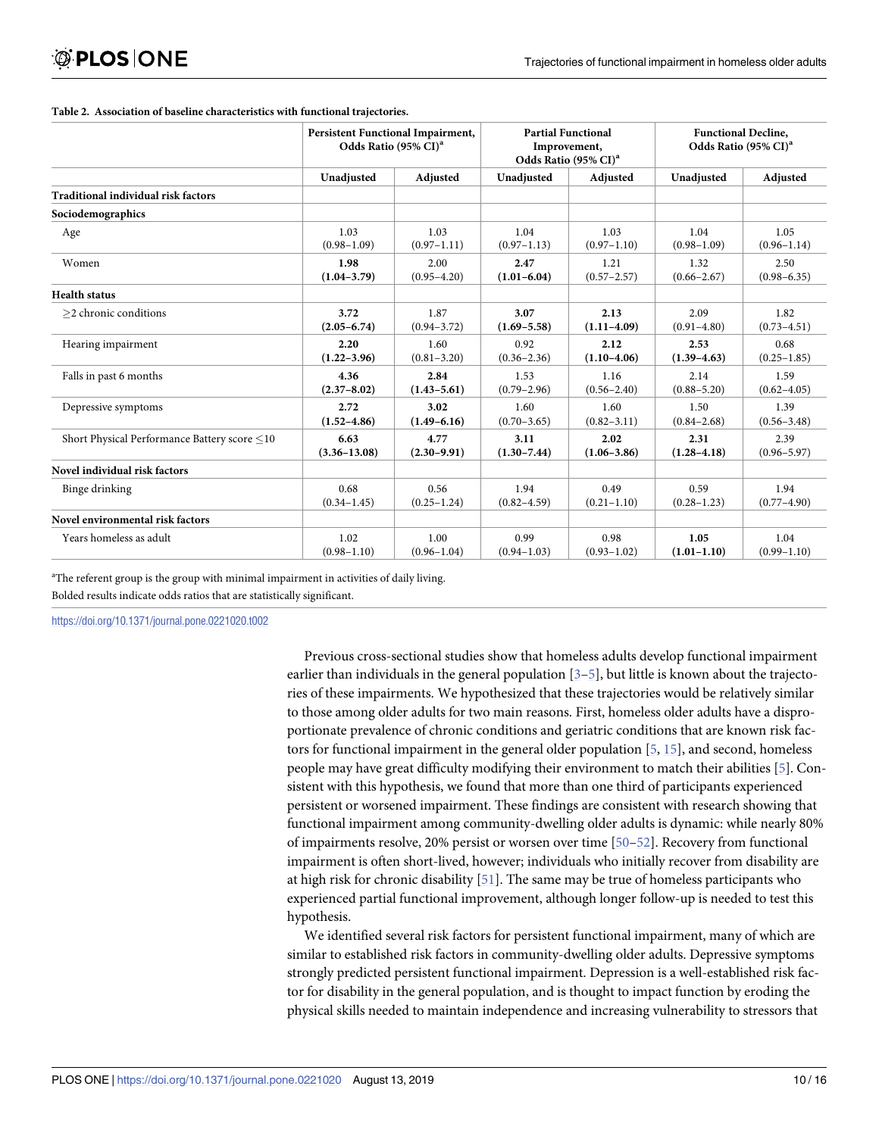#### <span id="page-9-0"></span>**[Table](#page-7-0) 2. Association of baseline characteristics with functional trajectories.**

|                                              | <b>Persistent Functional Impairment,</b><br>Odds Ratio (95% CI) <sup>a</sup> |                 | <b>Partial Functional</b><br>Improvement,<br>Odds Ratio (95% CI) <sup>a</sup> |                 | <b>Functional Decline.</b><br>Odds Ratio (95% CI) <sup>a</sup> |                 |
|----------------------------------------------|------------------------------------------------------------------------------|-----------------|-------------------------------------------------------------------------------|-----------------|----------------------------------------------------------------|-----------------|
|                                              | Unadjusted                                                                   | Adjusted        | Unadjusted                                                                    | Adjusted        | Unadjusted                                                     | Adjusted        |
| <b>Traditional individual risk factors</b>   |                                                                              |                 |                                                                               |                 |                                                                |                 |
| Sociodemographics                            |                                                                              |                 |                                                                               |                 |                                                                |                 |
| Age                                          | 1.03                                                                         | 1.03            | 1.04                                                                          | 1.03            | 1.04                                                           | 1.05            |
|                                              | $(0.98 - 1.09)$                                                              | $(0.97 - 1.11)$ | $(0.97 - 1.13)$                                                               | $(0.97 - 1.10)$ | $(0.98 - 1.09)$                                                | $(0.96 - 1.14)$ |
| Women                                        | 1.98                                                                         | 2.00            | 2.47                                                                          | 1.21            | 1.32                                                           | 2.50            |
|                                              | $(1.04 - 3.79)$                                                              | $(0.95 - 4.20)$ | $(1.01 - 6.04)$                                                               | $(0.57 - 2.57)$ | $(0.66 - 2.67)$                                                | $(0.98 - 6.35)$ |
| <b>Health status</b>                         |                                                                              |                 |                                                                               |                 |                                                                |                 |
| $>$ 2 chronic conditions                     | 3.72                                                                         | 1.87            | 3.07                                                                          | 2.13            | 2.09                                                           | 1.82            |
|                                              | $(2.05 - 6.74)$                                                              | $(0.94 - 3.72)$ | $(1.69 - 5.58)$                                                               | $(1.11 - 4.09)$ | $(0.91 - 4.80)$                                                | $(0.73 - 4.51)$ |
| Hearing impairment                           | 2.20                                                                         | 1.60            | 0.92                                                                          | 2.12            | 2.53                                                           | 0.68            |
|                                              | $(1.22 - 3.96)$                                                              | $(0.81 - 3.20)$ | $(0.36 - 2.36)$                                                               | $(1.10-4.06)$   | $(1.39 - 4.63)$                                                | $(0.25 - 1.85)$ |
| Falls in past 6 months                       | 4.36                                                                         | 2.84            | 1.53                                                                          | 1.16            | 2.14                                                           | 1.59            |
|                                              | $(2.37 - 8.02)$                                                              | $(1.43 - 5.61)$ | $(0.79 - 2.96)$                                                               | $(0.56 - 2.40)$ | $(0.88 - 5.20)$                                                | $(0.62 - 4.05)$ |
| Depressive symptoms                          | 2.72                                                                         | 3.02            | 1.60                                                                          | 1.60            | 1.50                                                           | 1.39            |
|                                              | $(1.52 - 4.86)$                                                              | $(1.49 - 6.16)$ | $(0.70 - 3.65)$                                                               | $(0.82 - 3.11)$ | $(0.84 - 2.68)$                                                | $(0.56 - 3.48)$ |
| Short Physical Performance Battery score <10 | 6.63                                                                         | 4.77            | 3.11                                                                          | 2.02            | 2.31                                                           | 2.39            |
|                                              | $(3.36 - 13.08)$                                                             | $(2.30 - 9.91)$ | $(1.30 - 7.44)$                                                               | $(1.06 - 3.86)$ | $(1.28 - 4.18)$                                                | $(0.96 - 5.97)$ |
| Novel individual risk factors                |                                                                              |                 |                                                                               |                 |                                                                |                 |
| Binge drinking                               | 0.68                                                                         | 0.56            | 1.94                                                                          | 0.49            | 0.59                                                           | 1.94            |
|                                              | $(0.34 - 1.45)$                                                              | $(0.25 - 1.24)$ | $(0.82 - 4.59)$                                                               | $(0.21 - 1.10)$ | $(0.28 - 1.23)$                                                | $(0.77 - 4.90)$ |
| Novel environmental risk factors             |                                                                              |                 |                                                                               |                 |                                                                |                 |
| Years homeless as adult                      | 1.02                                                                         | 1.00            | 0.99                                                                          | 0.98            | 1.05                                                           | 1.04            |
|                                              | $(0.98 - 1.10)$                                                              | $(0.96 - 1.04)$ | $(0.94 - 1.03)$                                                               | $(0.93 - 1.02)$ | $(1.01 - 1.10)$                                                | $(0.99 - 1.10)$ |

<sup>a</sup>The referent group is the group with minimal impairment in activities of daily living.

Bolded results indicate odds ratios that are statistically significant.

<https://doi.org/10.1371/journal.pone.0221020.t002>

Previous cross-sectional studies show that homeless adults develop functional impairment earlier than individuals in the general population  $[3-5]$  $[3-5]$ , but little is known about the trajectories of these impairments. We hypothesized that these trajectories would be relatively similar to those among older adults for two main reasons. First, homeless older adults have a disproportionate prevalence of chronic conditions and geriatric conditions that are known risk factors for functional impairment in the general older population [\[5,](#page-13-0) [15\]](#page-13-0), and second, homeless people may have great difficulty modifying their environment to match their abilities [[5](#page-13-0)]. Consistent with this hypothesis, we found that more than one third of participants experienced persistent or worsened impairment. These findings are consistent with research showing that functional impairment among community-dwelling older adults is dynamic: while nearly 80% of impairments resolve, 20% persist or worsen over time [\[50–52](#page-15-0)]. Recovery from functional impairment is often short-lived, however; individuals who initially recover from disability are at high risk for chronic disability [\[51\]](#page-15-0). The same may be true of homeless participants who experienced partial functional improvement, although longer follow-up is needed to test this hypothesis.

We identified several risk factors for persistent functional impairment, many of which are similar to established risk factors in community-dwelling older adults. Depressive symptoms strongly predicted persistent functional impairment. Depression is a well-established risk factor for disability in the general population, and is thought to impact function by eroding the physical skills needed to maintain independence and increasing vulnerability to stressors that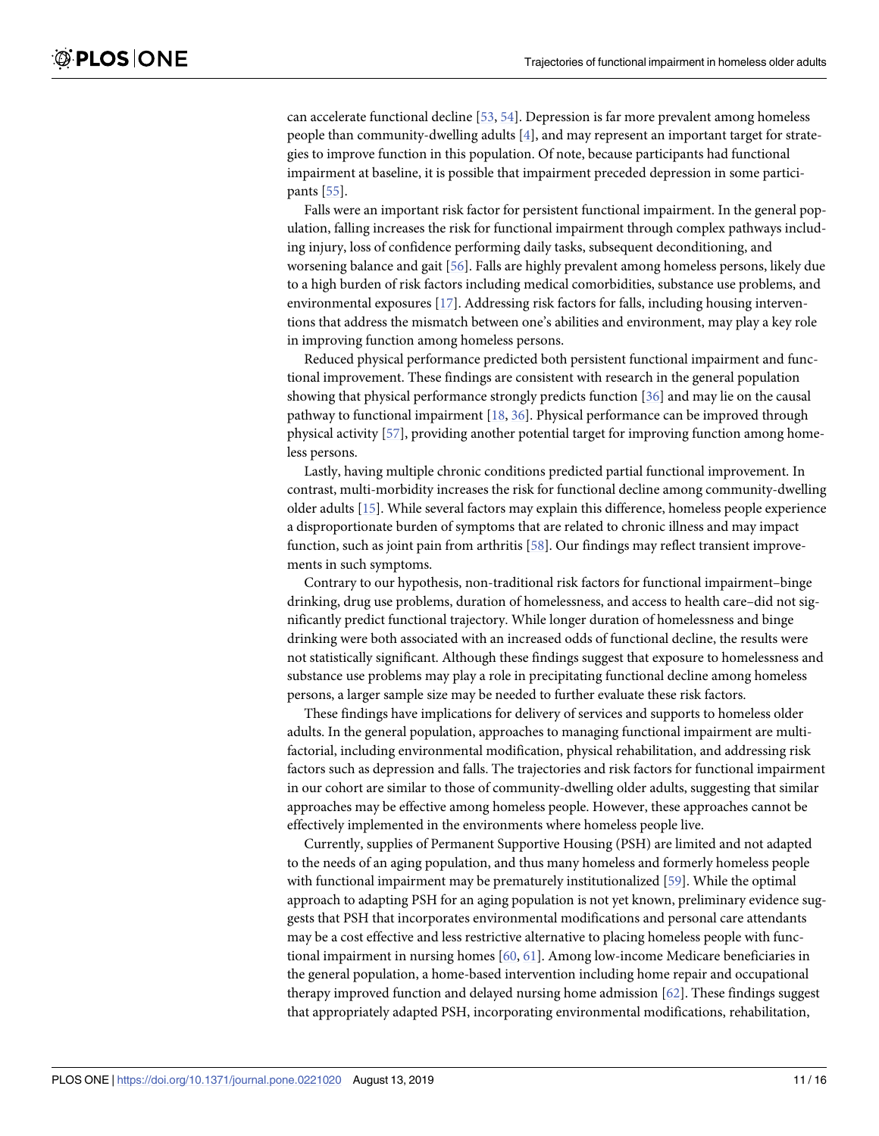<span id="page-10-0"></span>can accelerate functional decline [[53](#page-15-0), [54](#page-15-0)]. Depression is far more prevalent among homeless people than community-dwelling adults [[4\]](#page-12-0), and may represent an important target for strategies to improve function in this population. Of note, because participants had functional impairment at baseline, it is possible that impairment preceded depression in some participants [\[55\]](#page-15-0).

Falls were an important risk factor for persistent functional impairment. In the general population, falling increases the risk for functional impairment through complex pathways including injury, loss of confidence performing daily tasks, subsequent deconditioning, and worsening balance and gait [[56](#page-15-0)]. Falls are highly prevalent among homeless persons, likely due to a high burden of risk factors including medical comorbidities, substance use problems, and environmental exposures [\[17\]](#page-13-0). Addressing risk factors for falls, including housing interventions that address the mismatch between one's abilities and environment, may play a key role in improving function among homeless persons.

Reduced physical performance predicted both persistent functional impairment and functional improvement. These findings are consistent with research in the general population showing that physical performance strongly predicts function [\[36\]](#page-14-0) and may lie on the causal pathway to functional impairment [\[18,](#page-13-0) [36\]](#page-14-0). Physical performance can be improved through physical activity [\[57\]](#page-15-0), providing another potential target for improving function among homeless persons.

Lastly, having multiple chronic conditions predicted partial functional improvement. In contrast, multi-morbidity increases the risk for functional decline among community-dwelling older adults [\[15\]](#page-13-0). While several factors may explain this difference, homeless people experience a disproportionate burden of symptoms that are related to chronic illness and may impact function, such as joint pain from arthritis [[58](#page-15-0)]. Our findings may reflect transient improvements in such symptoms.

Contrary to our hypothesis, non-traditional risk factors for functional impairment–binge drinking, drug use problems, duration of homelessness, and access to health care–did not significantly predict functional trajectory. While longer duration of homelessness and binge drinking were both associated with an increased odds of functional decline, the results were not statistically significant. Although these findings suggest that exposure to homelessness and substance use problems may play a role in precipitating functional decline among homeless persons, a larger sample size may be needed to further evaluate these risk factors.

These findings have implications for delivery of services and supports to homeless older adults. In the general population, approaches to managing functional impairment are multifactorial, including environmental modification, physical rehabilitation, and addressing risk factors such as depression and falls. The trajectories and risk factors for functional impairment in our cohort are similar to those of community-dwelling older adults, suggesting that similar approaches may be effective among homeless people. However, these approaches cannot be effectively implemented in the environments where homeless people live.

Currently, supplies of Permanent Supportive Housing (PSH) are limited and not adapted to the needs of an aging population, and thus many homeless and formerly homeless people with functional impairment may be prematurely institutionalized [\[59\]](#page-15-0). While the optimal approach to adapting PSH for an aging population is not yet known, preliminary evidence suggests that PSH that incorporates environmental modifications and personal care attendants may be a cost effective and less restrictive alternative to placing homeless people with functional impairment in nursing homes [[60](#page-15-0), [61\]](#page-15-0). Among low-income Medicare beneficiaries in the general population, a home-based intervention including home repair and occupational therapy improved function and delayed nursing home admission [\[62\]](#page-15-0). These findings suggest that appropriately adapted PSH, incorporating environmental modifications, rehabilitation,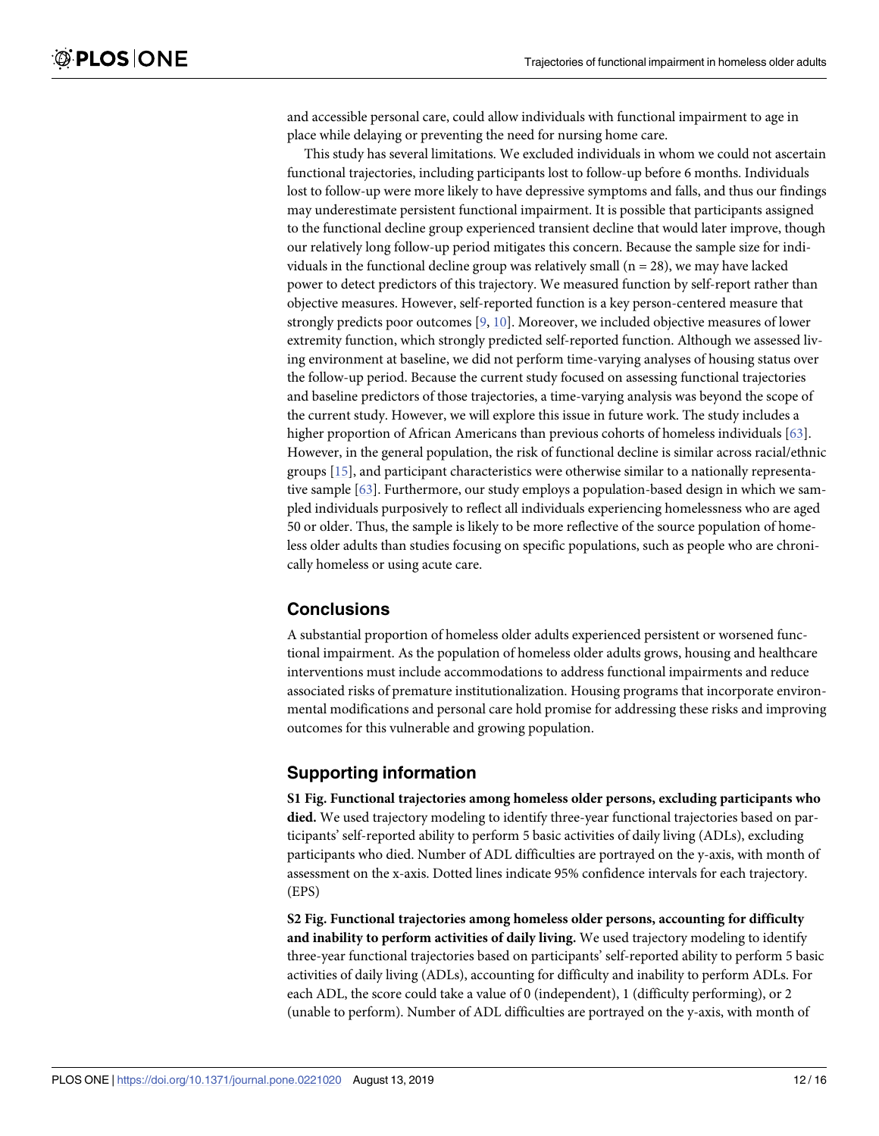<span id="page-11-0"></span>and accessible personal care, could allow individuals with functional impairment to age in place while delaying or preventing the need for nursing home care.

This study has several limitations. We excluded individuals in whom we could not ascertain functional trajectories, including participants lost to follow-up before 6 months. Individuals lost to follow-up were more likely to have depressive symptoms and falls, and thus our findings may underestimate persistent functional impairment. It is possible that participants assigned to the functional decline group experienced transient decline that would later improve, though our relatively long follow-up period mitigates this concern. Because the sample size for individuals in the functional decline group was relatively small  $(n = 28)$ , we may have lacked power to detect predictors of this trajectory. We measured function by self-report rather than objective measures. However, self-reported function is a key person-centered measure that strongly predicts poor outcomes [\[9](#page-13-0), [10](#page-13-0)]. Moreover, we included objective measures of lower extremity function, which strongly predicted self-reported function. Although we assessed living environment at baseline, we did not perform time-varying analyses of housing status over the follow-up period. Because the current study focused on assessing functional trajectories and baseline predictors of those trajectories, a time-varying analysis was beyond the scope of the current study. However, we will explore this issue in future work. The study includes a higher proportion of African Americans than previous cohorts of homeless individuals [\[63\]](#page-15-0). However, in the general population, the risk of functional decline is similar across racial/ethnic groups [\[15\]](#page-13-0), and participant characteristics were otherwise similar to a nationally representative sample [\[63\]](#page-15-0). Furthermore, our study employs a population-based design in which we sampled individuals purposively to reflect all individuals experiencing homelessness who are aged 50 or older. Thus, the sample is likely to be more reflective of the source population of homeless older adults than studies focusing on specific populations, such as people who are chronically homeless or using acute care.

## **Conclusions**

A substantial proportion of homeless older adults experienced persistent or worsened functional impairment. As the population of homeless older adults grows, housing and healthcare interventions must include accommodations to address functional impairments and reduce associated risks of premature institutionalization. Housing programs that incorporate environmental modifications and personal care hold promise for addressing these risks and improving outcomes for this vulnerable and growing population.

## **Supporting information**

**S1 [Fig](http://www.plosone.org/article/fetchSingleRepresentation.action?uri=info:doi/10.1371/journal.pone.0221020.s001). Functional trajectories among homeless older persons, excluding participants who died.** We used trajectory modeling to identify three-year functional trajectories based on participants' self-reported ability to perform 5 basic activities of daily living (ADLs), excluding participants who died. Number of ADL difficulties are portrayed on the y-axis, with month of assessment on the x-axis. Dotted lines indicate 95% confidence intervals for each trajectory. (EPS)

**S2 [Fig](http://www.plosone.org/article/fetchSingleRepresentation.action?uri=info:doi/10.1371/journal.pone.0221020.s002). Functional trajectories among homeless older persons, accounting for difficulty and inability to perform activities of daily living.** We used trajectory modeling to identify three-year functional trajectories based on participants' self-reported ability to perform 5 basic activities of daily living (ADLs), accounting for difficulty and inability to perform ADLs. For each ADL, the score could take a value of 0 (independent), 1 (difficulty performing), or 2 (unable to perform). Number of ADL difficulties are portrayed on the y-axis, with month of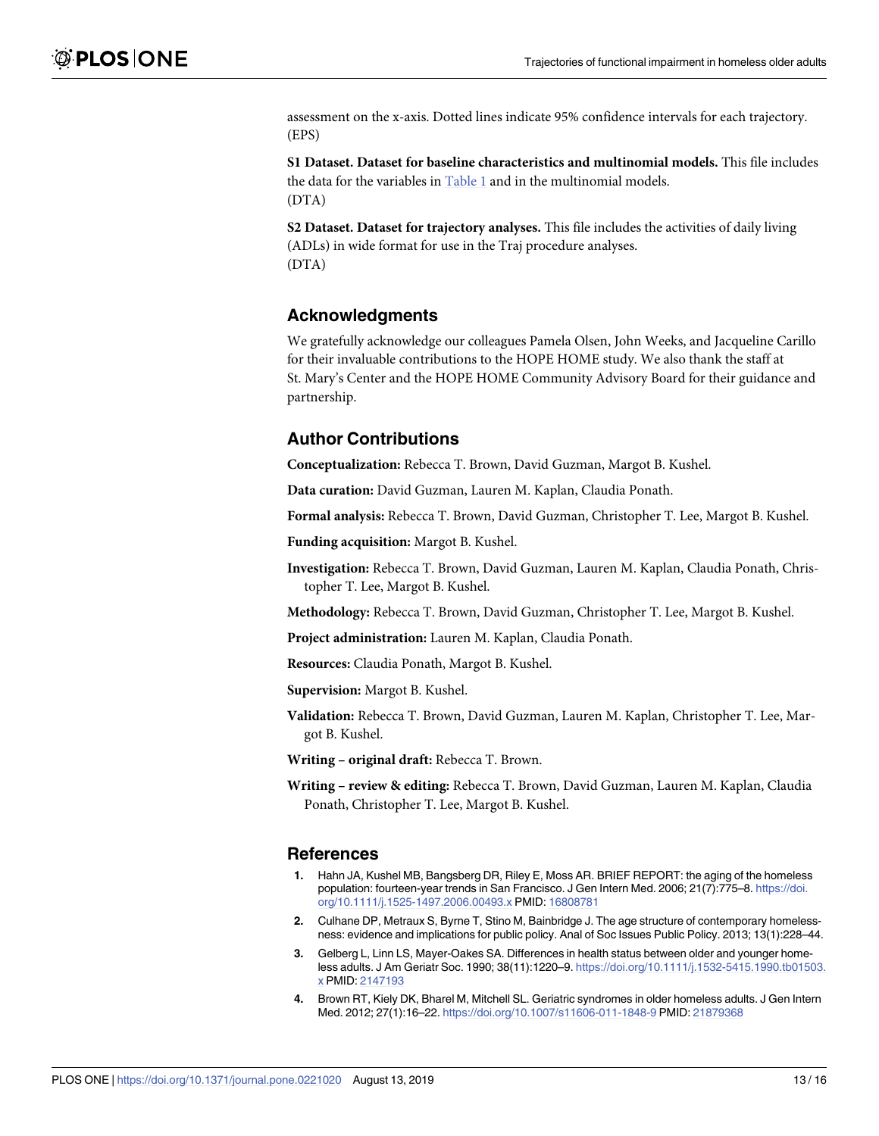<span id="page-12-0"></span>assessment on the x-axis. Dotted lines indicate 95% confidence intervals for each trajectory. (EPS)

**S1 [Dataset.](http://www.plosone.org/article/fetchSingleRepresentation.action?uri=info:doi/10.1371/journal.pone.0221020.s003) Dataset for baseline characteristics and multinomial models.** This file includes the data for the variables in [Table](#page-6-0) 1 and in the multinomial models. (DTA)

**S2 [Dataset.](http://www.plosone.org/article/fetchSingleRepresentation.action?uri=info:doi/10.1371/journal.pone.0221020.s004) Dataset for trajectory analyses.** This file includes the activities of daily living (ADLs) in wide format for use in the Traj procedure analyses. (DTA)

## **Acknowledgments**

We gratefully acknowledge our colleagues Pamela Olsen, John Weeks, and Jacqueline Carillo for their invaluable contributions to the HOPE HOME study. We also thank the staff at St. Mary's Center and the HOPE HOME Community Advisory Board for their guidance and partnership.

## **Author Contributions**

**Conceptualization:** Rebecca T. Brown, David Guzman, Margot B. Kushel.

**Data curation:** David Guzman, Lauren M. Kaplan, Claudia Ponath.

**Formal analysis:** Rebecca T. Brown, David Guzman, Christopher T. Lee, Margot B. Kushel.

**Funding acquisition:** Margot B. Kushel.

**Investigation:** Rebecca T. Brown, David Guzman, Lauren M. Kaplan, Claudia Ponath, Christopher T. Lee, Margot B. Kushel.

**Methodology:** Rebecca T. Brown, David Guzman, Christopher T. Lee, Margot B. Kushel.

**Project administration:** Lauren M. Kaplan, Claudia Ponath.

**Resources:** Claudia Ponath, Margot B. Kushel.

**Supervision:** Margot B. Kushel.

**Validation:** Rebecca T. Brown, David Guzman, Lauren M. Kaplan, Christopher T. Lee, Margot B. Kushel.

**Writing – original draft:** Rebecca T. Brown.

**Writing – review & editing:** Rebecca T. Brown, David Guzman, Lauren M. Kaplan, Claudia Ponath, Christopher T. Lee, Margot B. Kushel.

#### **References**

- **[1](#page-0-0).** Hahn JA, Kushel MB, Bangsberg DR, Riley E, Moss AR. BRIEF REPORT: the aging of the homeless population: fourteen-year trends in San Francisco. J Gen Intern Med. 2006; 21(7):775–8. [https://doi.](https://doi.org/10.1111/j.1525-1497.2006.00493.x) [org/10.1111/j.1525-1497.2006.00493.x](https://doi.org/10.1111/j.1525-1497.2006.00493.x) PMID: [16808781](http://www.ncbi.nlm.nih.gov/pubmed/16808781)
- **[2](#page-0-0).** Culhane DP, Metraux S, Byrne T, Stino M, Bainbridge J. The age structure of contemporary homelessness: evidence and implications for public policy. Anal of Soc Issues Public Policy. 2013; 13(1):228–44.
- **[3](#page-1-0).** Gelberg L, Linn LS, Mayer-Oakes SA. Differences in health status between older and younger homeless adults. J Am Geriatr Soc. 1990; 38(11):1220–9. [https://doi.org/10.1111/j.1532-5415.1990.tb01503.](https://doi.org/10.1111/j.1532-5415.1990.tb01503.x) [x](https://doi.org/10.1111/j.1532-5415.1990.tb01503.x) PMID: [2147193](http://www.ncbi.nlm.nih.gov/pubmed/2147193)
- **[4](#page-1-0).** Brown RT, Kiely DK, Bharel M, Mitchell SL. Geriatric syndromes in older homeless adults. J Gen Intern Med. 2012; 27(1):16–22. <https://doi.org/10.1007/s11606-011-1848-9> PMID: [21879368](http://www.ncbi.nlm.nih.gov/pubmed/21879368)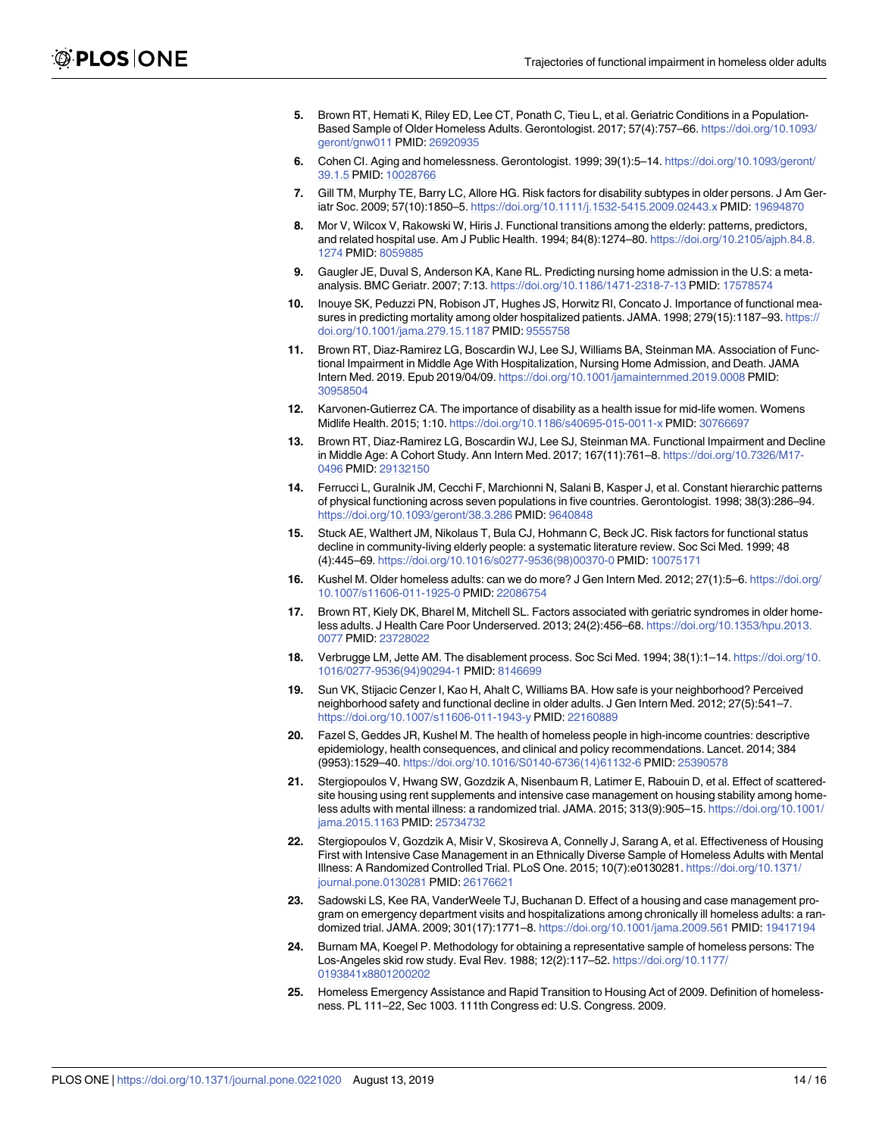- <span id="page-13-0"></span>**[5](#page-1-0).** Brown RT, Hemati K, Riley ED, Lee CT, Ponath C, Tieu L, et al. Geriatric Conditions in a Population-Based Sample of Older Homeless Adults. Gerontologist. 2017; 57(4):757–66. [https://doi.org/10.1093/](https://doi.org/10.1093/geront/gnw011) [geront/gnw011](https://doi.org/10.1093/geront/gnw011) PMID: [26920935](http://www.ncbi.nlm.nih.gov/pubmed/26920935)
- **[6](#page-1-0).** Cohen CI. Aging and homelessness. Gerontologist. 1999; 39(1):5–14. [https://doi.org/10.1093/geront/](https://doi.org/10.1093/geront/39.1.5) [39.1.5](https://doi.org/10.1093/geront/39.1.5) PMID: [10028766](http://www.ncbi.nlm.nih.gov/pubmed/10028766)
- **[7](#page-1-0).** Gill TM, Murphy TE, Barry LC, Allore HG. Risk factors for disability subtypes in older persons. J Am Geriatr Soc. 2009; 57(10):1850–5. <https://doi.org/10.1111/j.1532-5415.2009.02443.x> PMID: [19694870](http://www.ncbi.nlm.nih.gov/pubmed/19694870)
- **[8](#page-1-0).** Mor V, Wilcox V, Rakowski W, Hiris J. Functional transitions among the elderly: patterns, predictors, and related hospital use. Am J Public Health. 1994; 84(8):1274–80. [https://doi.org/10.2105/ajph.84.8.](https://doi.org/10.2105/ajph.84.8.1274) [1274](https://doi.org/10.2105/ajph.84.8.1274) PMID: [8059885](http://www.ncbi.nlm.nih.gov/pubmed/8059885)
- **[9](#page-1-0).** Gaugler JE, Duval S, Anderson KA, Kane RL. Predicting nursing home admission in the U.S: a metaanalysis. BMC Geriatr. 2007; 7:13. <https://doi.org/10.1186/1471-2318-7-13> PMID: [17578574](http://www.ncbi.nlm.nih.gov/pubmed/17578574)
- **[10](#page-1-0).** Inouye SK, Peduzzi PN, Robison JT, Hughes JS, Horwitz RI, Concato J. Importance of functional measures in predicting mortality among older hospitalized patients. JAMA. 1998; 279(15):1187–93. [https://](https://doi.org/10.1001/jama.279.15.1187) [doi.org/10.1001/jama.279.15.1187](https://doi.org/10.1001/jama.279.15.1187) PMID: [9555758](http://www.ncbi.nlm.nih.gov/pubmed/9555758)
- **[11](#page-1-0).** Brown RT, Diaz-Ramirez LG, Boscardin WJ, Lee SJ, Williams BA, Steinman MA. Association of Functional Impairment in Middle Age With Hospitalization, Nursing Home Admission, and Death. JAMA Intern Med. 2019. Epub 2019/04/09. <https://doi.org/10.1001/jamainternmed.2019.0008> PMID: [30958504](http://www.ncbi.nlm.nih.gov/pubmed/30958504)
- **[12](#page-1-0).** Karvonen-Gutierrez CA. The importance of disability as a health issue for mid-life women. Womens Midlife Health. 2015; 1:10. <https://doi.org/10.1186/s40695-015-0011-x> PMID: [30766697](http://www.ncbi.nlm.nih.gov/pubmed/30766697)
- **[13](#page-1-0).** Brown RT, Diaz-Ramirez LG, Boscardin WJ, Lee SJ, Steinman MA. Functional Impairment and Decline in Middle Age: A Cohort Study. Ann Intern Med. 2017; 167(11):761–8. [https://doi.org/10.7326/M17-](https://doi.org/10.7326/M17-0496) [0496](https://doi.org/10.7326/M17-0496) PMID: [29132150](http://www.ncbi.nlm.nih.gov/pubmed/29132150)
- **[14](#page-1-0).** Ferrucci L, Guralnik JM, Cecchi F, Marchionni N, Salani B, Kasper J, et al. Constant hierarchic patterns of physical functioning across seven populations in five countries. Gerontologist. 1998; 38(3):286–94. <https://doi.org/10.1093/geront/38.3.286> PMID: [9640848](http://www.ncbi.nlm.nih.gov/pubmed/9640848)
- **[15](#page-1-0).** Stuck AE, Walthert JM, Nikolaus T, Bula CJ, Hohmann C, Beck JC. Risk factors for functional status decline in community-living elderly people: a systematic literature review. Soc Sci Med. 1999; 48 (4):445–69. [https://doi.org/10.1016/s0277-9536\(98\)00370-0](https://doi.org/10.1016/s0277-9536(98)00370-0) PMID: [10075171](http://www.ncbi.nlm.nih.gov/pubmed/10075171)
- **[16](#page-1-0).** Kushel M. Older homeless adults: can we do more? J Gen Intern Med. 2012; 27(1):5–6. [https://doi.org/](https://doi.org/10.1007/s11606-011-1925-0) [10.1007/s11606-011-1925-0](https://doi.org/10.1007/s11606-011-1925-0) PMID: [22086754](http://www.ncbi.nlm.nih.gov/pubmed/22086754)
- **[17](#page-1-0).** Brown RT, Kiely DK, Bharel M, Mitchell SL. Factors associated with geriatric syndromes in older homeless adults. J Health Care Poor Underserved. 2013; 24(2):456–68. [https://doi.org/10.1353/hpu.2013.](https://doi.org/10.1353/hpu.2013.0077) [0077](https://doi.org/10.1353/hpu.2013.0077) PMID: [23728022](http://www.ncbi.nlm.nih.gov/pubmed/23728022)
- **[18](#page-1-0).** Verbrugge LM, Jette AM. The disablement process. Soc Sci Med. 1994; 38(1):1–14. [https://doi.org/10.](https://doi.org/10.1016/0277-9536(94)90294-1) [1016/0277-9536\(94\)90294-1](https://doi.org/10.1016/0277-9536(94)90294-1) PMID: [8146699](http://www.ncbi.nlm.nih.gov/pubmed/8146699)
- **[19](#page-1-0).** Sun VK, Stijacic Cenzer I, Kao H, Ahalt C, Williams BA. How safe is your neighborhood? Perceived neighborhood safety and functional decline in older adults. J Gen Intern Med. 2012; 27(5):541–7. <https://doi.org/10.1007/s11606-011-1943-y> PMID: [22160889](http://www.ncbi.nlm.nih.gov/pubmed/22160889)
- **[20](#page-1-0).** Fazel S, Geddes JR, Kushel M. The health of homeless people in high-income countries: descriptive epidemiology, health consequences, and clinical and policy recommendations. Lancet. 2014; 384 (9953):1529–40. [https://doi.org/10.1016/S0140-6736\(14\)61132-6](https://doi.org/10.1016/S0140-6736(14)61132-6) PMID: [25390578](http://www.ncbi.nlm.nih.gov/pubmed/25390578)
- **[21](#page-2-0).** Stergiopoulos V, Hwang SW, Gozdzik A, Nisenbaum R, Latimer E, Rabouin D, et al. Effect of scatteredsite housing using rent supplements and intensive case management on housing stability among homeless adults with mental illness: a randomized trial. JAMA. 2015; 313(9):905–15. [https://doi.org/10.1001/](https://doi.org/10.1001/jama.2015.1163) [jama.2015.1163](https://doi.org/10.1001/jama.2015.1163) PMID: [25734732](http://www.ncbi.nlm.nih.gov/pubmed/25734732)
- **22.** Stergiopoulos V, Gozdzik A, Misir V, Skosireva A, Connelly J, Sarang A, et al. Effectiveness of Housing First with Intensive Case Management in an Ethnically Diverse Sample of Homeless Adults with Mental Illness: A Randomized Controlled Trial. PLoS One. 2015; 10(7):e0130281. [https://doi.org/10.1371/](https://doi.org/10.1371/journal.pone.0130281) [journal.pone.0130281](https://doi.org/10.1371/journal.pone.0130281) PMID: [26176621](http://www.ncbi.nlm.nih.gov/pubmed/26176621)
- **[23](#page-2-0).** Sadowski LS, Kee RA, VanderWeele TJ, Buchanan D. Effect of a housing and case management program on emergency department visits and hospitalizations among chronically ill homeless adults: a randomized trial. JAMA. 2009; 301(17):1771–8. <https://doi.org/10.1001/jama.2009.561> PMID: [19417194](http://www.ncbi.nlm.nih.gov/pubmed/19417194)
- **[24](#page-2-0).** Burnam MA, Koegel P. Methodology for obtaining a representative sample of homeless persons: The Los-Angeles skid row study. Eval Rev. 1988; 12(2):117–52. [https://doi.org/10.1177/](https://doi.org/10.1177/0193841x8801200202) [0193841x8801200202](https://doi.org/10.1177/0193841x8801200202)
- **[25](#page-2-0).** Homeless Emergency Assistance and Rapid Transition to Housing Act of 2009. Definition of homelessness. PL 111–22, Sec 1003. 111th Congress ed: U.S. Congress. 2009.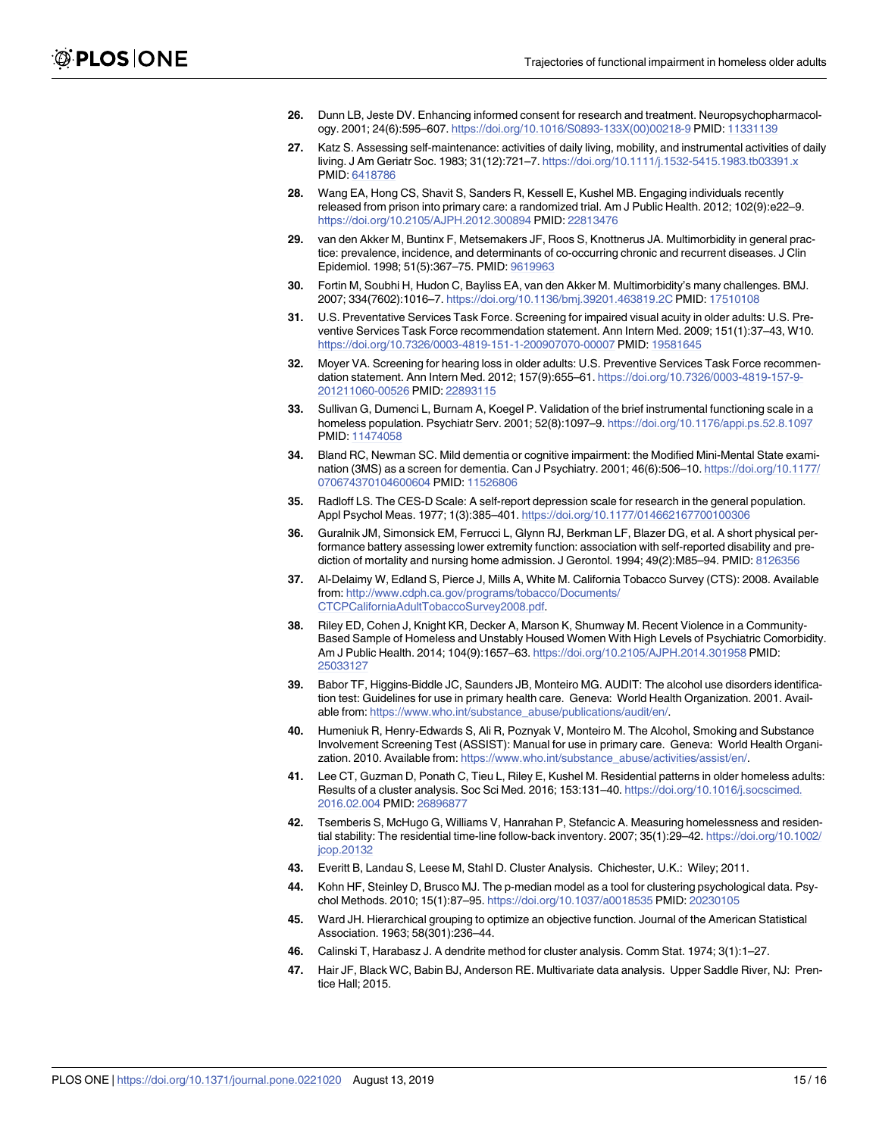- <span id="page-14-0"></span>**[26](#page-2-0).** Dunn LB, Jeste DV. Enhancing informed consent for research and treatment. Neuropsychopharmacology. 2001; 24(6):595–607. [https://doi.org/10.1016/S0893-133X\(00\)00218-9](https://doi.org/10.1016/S0893-133X(00)00218-9) PMID: [11331139](http://www.ncbi.nlm.nih.gov/pubmed/11331139)
- **[27](#page-3-0).** Katz S. Assessing self-maintenance: activities of daily living, mobility, and instrumental activities of daily living. J Am Geriatr Soc. 1983; 31(12):721–7. <https://doi.org/10.1111/j.1532-5415.1983.tb03391.x> PMID: [6418786](http://www.ncbi.nlm.nih.gov/pubmed/6418786)
- **[28](#page-3-0).** Wang EA, Hong CS, Shavit S, Sanders R, Kessell E, Kushel MB. Engaging individuals recently released from prison into primary care: a randomized trial. Am J Public Health. 2012; 102(9):e22–9. <https://doi.org/10.2105/AJPH.2012.300894> PMID: [22813476](http://www.ncbi.nlm.nih.gov/pubmed/22813476)
- **[29](#page-3-0).** van den Akker M, Buntinx F, Metsemakers JF, Roos S, Knottnerus JA. Multimorbidity in general practice: prevalence, incidence, and determinants of co-occurring chronic and recurrent diseases. J Clin Epidemiol. 1998; 51(5):367–75. PMID: [9619963](http://www.ncbi.nlm.nih.gov/pubmed/9619963)
- **[30](#page-3-0).** Fortin M, Soubhi H, Hudon C, Bayliss EA, van den Akker M. Multimorbidity's many challenges. BMJ. 2007; 334(7602):1016–7. <https://doi.org/10.1136/bmj.39201.463819.2C> PMID: [17510108](http://www.ncbi.nlm.nih.gov/pubmed/17510108)
- **[31](#page-3-0).** U.S. Preventative Services Task Force. Screening for impaired visual acuity in older adults: U.S. Preventive Services Task Force recommendation statement. Ann Intern Med. 2009; 151(1):37–43, W10. <https://doi.org/10.7326/0003-4819-151-1-200907070-00007> PMID: [19581645](http://www.ncbi.nlm.nih.gov/pubmed/19581645)
- **[32](#page-3-0).** Moyer VA. Screening for hearing loss in older adults: U.S. Preventive Services Task Force recommendation statement. Ann Intern Med. 2012; 157(9):655–61. [https://doi.org/10.7326/0003-4819-157-9-](https://doi.org/10.7326/0003-4819-157-9-201211060-00526) [201211060-00526](https://doi.org/10.7326/0003-4819-157-9-201211060-00526) PMID: [22893115](http://www.ncbi.nlm.nih.gov/pubmed/22893115)
- **[33](#page-3-0).** Sullivan G, Dumenci L, Burnam A, Koegel P. Validation of the brief instrumental functioning scale in a homeless population. Psychiatr Serv. 2001; 52(8):1097–9. <https://doi.org/10.1176/appi.ps.52.8.1097> PMID: [11474058](http://www.ncbi.nlm.nih.gov/pubmed/11474058)
- **[34](#page-3-0).** Bland RC, Newman SC. Mild dementia or cognitive impairment: the Modified Mini-Mental State examination (3MS) as a screen for dementia. Can J Psychiatry. 2001; 46(6):506–10. [https://doi.org/10.1177/](https://doi.org/10.1177/070674370104600604) [070674370104600604](https://doi.org/10.1177/070674370104600604) PMID: [11526806](http://www.ncbi.nlm.nih.gov/pubmed/11526806)
- **[35](#page-3-0).** Radloff LS. The CES-D Scale: A self-report depression scale for research in the general population. Appl Psychol Meas. 1977; 1(3):385–401. <https://doi.org/10.1177/014662167700100306>
- **[36](#page-3-0).** Guralnik JM, Simonsick EM, Ferrucci L, Glynn RJ, Berkman LF, Blazer DG, et al. A short physical performance battery assessing lower extremity function: association with self-reported disability and prediction of mortality and nursing home admission. J Gerontol. 1994; 49(2):M85–94. PMID: [8126356](http://www.ncbi.nlm.nih.gov/pubmed/8126356)
- **[37](#page-3-0).** Al-Delaimy W, Edland S, Pierce J, Mills A, White M. California Tobacco Survey (CTS): 2008. Available from: [http://www.cdph.ca.gov/programs/tobacco/Documents/](http://www.cdph.ca.gov/programs/tobacco/Documents/CTCPCaliforniaAdultTobaccoSurvey2008.pdf) [CTCPCaliforniaAdultTobaccoSurvey2008.pdf](http://www.cdph.ca.gov/programs/tobacco/Documents/CTCPCaliforniaAdultTobaccoSurvey2008.pdf).
- **[38](#page-3-0).** Riley ED, Cohen J, Knight KR, Decker A, Marson K, Shumway M. Recent Violence in a Community-Based Sample of Homeless and Unstably Housed Women With High Levels of Psychiatric Comorbidity. Am J Public Health. 2014; 104(9):1657–63. <https://doi.org/10.2105/AJPH.2014.301958> PMID: [25033127](http://www.ncbi.nlm.nih.gov/pubmed/25033127)
- **[39](#page-3-0).** Babor TF, Higgins-Biddle JC, Saunders JB, Monteiro MG. AUDIT: The alcohol use disorders identification test: Guidelines for use in primary health care. Geneva: World Health Organization. 2001. Available from: [https://www.who.int/substance\\_abuse/publications/audit/en/](https://www.who.int/substance_abuse/publications/audit/en/).
- **[40](#page-3-0).** Humeniuk R, Henry-Edwards S, Ali R, Poznyak V, Monteiro M. The Alcohol, Smoking and Substance Involvement Screening Test (ASSIST): Manual for use in primary care. Geneva: World Health Organization. 2010. Available from: [https://www.who.int/substance\\_abuse/activities/assist/en/.](https://www.who.int/substance_abuse/activities/assist/en/)
- **[41](#page-3-0).** Lee CT, Guzman D, Ponath C, Tieu L, Riley E, Kushel M. Residential patterns in older homeless adults: Results of a cluster analysis. Soc Sci Med. 2016; 153:131–40. [https://doi.org/10.1016/j.socscimed.](https://doi.org/10.1016/j.socscimed.2016.02.004) [2016.02.004](https://doi.org/10.1016/j.socscimed.2016.02.004) PMID: [26896877](http://www.ncbi.nlm.nih.gov/pubmed/26896877)
- **[42](#page-3-0).** Tsemberis S, McHugo G, Williams V, Hanrahan P, Stefancic A. Measuring homelessness and residential stability: The residential time-line follow-back inventory. 2007; 35(1):29–42. [https://doi.org/10.1002/](https://doi.org/10.1002/jcop.20132) [jcop.20132](https://doi.org/10.1002/jcop.20132)
- **[43](#page-4-0).** Everitt B, Landau S, Leese M, Stahl D. Cluster Analysis. Chichester, U.K.: Wiley; 2011.
- **[44](#page-4-0).** Kohn HF, Steinley D, Brusco MJ. The p-median model as a tool for clustering psychological data. Psychol Methods. 2010; 15(1):87–95. <https://doi.org/10.1037/a0018535> PMID: [20230105](http://www.ncbi.nlm.nih.gov/pubmed/20230105)
- **[45](#page-4-0).** Ward JH. Hierarchical grouping to optimize an objective function. Journal of the American Statistical Association. 1963; 58(301):236–44.
- **[46](#page-4-0).** Calinski T, Harabasz J. A dendrite method for cluster analysis. Comm Stat. 1974; 3(1):1–27.
- **[47](#page-4-0).** Hair JF, Black WC, Babin BJ, Anderson RE. Multivariate data analysis. Upper Saddle River, NJ: Prentice Hall; 2015.